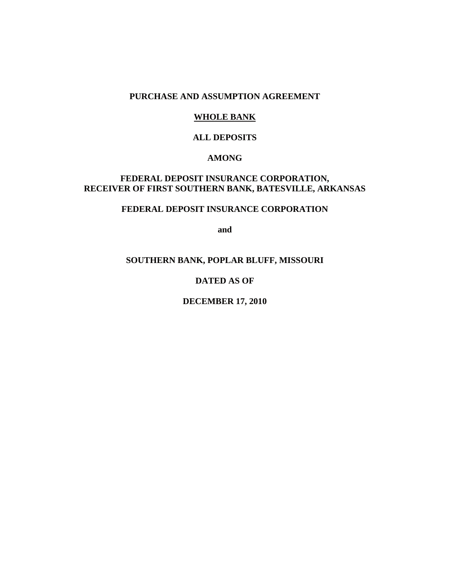#### **PURCHASE AND ASSUMPTION AGREEMENT**

#### **WHOLE BANK**

#### **ALL DEPOSITS**

#### **AMONG**

## **FEDERAL DEPOSIT INSURANCE CORPORATION, RECEIVER OF FIRST SOUTHERN BANK, BATESVILLE, ARKANSAS**

## **FEDERAL DEPOSIT INSURANCE CORPORATION**

**and** 

## **SOUTHERN BANK, POPLAR BLUFF, MISSOURI**

#### **DATED AS OF**

## **DECEMBER 17, 2010**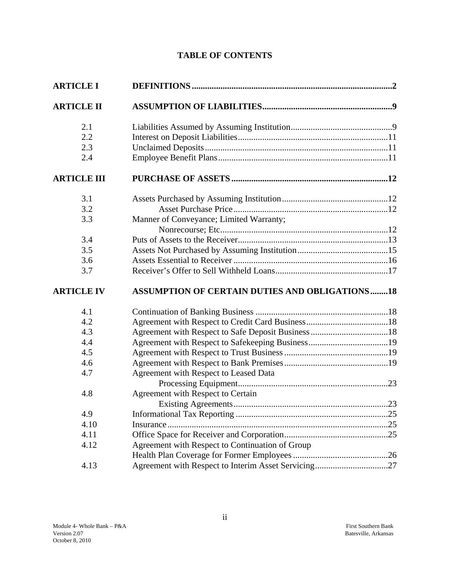## **TABLE OF CONTENTS**

| <b>ARTICLE I</b>   |                                                       |  |
|--------------------|-------------------------------------------------------|--|
| <b>ARTICLE II</b>  |                                                       |  |
| 2.1                |                                                       |  |
| 2.2                |                                                       |  |
| 2.3                |                                                       |  |
| 2.4                |                                                       |  |
| <b>ARTICLE III</b> |                                                       |  |
| 3.1                |                                                       |  |
| 3.2                |                                                       |  |
| 3.3                | Manner of Conveyance; Limited Warranty;               |  |
| 3.4                |                                                       |  |
| 3.5                |                                                       |  |
| 3.6                |                                                       |  |
| 3.7                |                                                       |  |
| <b>ARTICLE IV</b>  | <b>ASSUMPTION OF CERTAIN DUTIES AND OBLIGATIONS18</b> |  |
| 4.1                |                                                       |  |
| 4.2                |                                                       |  |
| 4.3                |                                                       |  |
| 4.4                |                                                       |  |
| 4.5                |                                                       |  |
| 4.6                |                                                       |  |
| 4.7                | Agreement with Respect to Leased Data                 |  |
|                    |                                                       |  |
| 4.8                | Agreement with Respect to Certain                     |  |
| 4.9                |                                                       |  |
| 4.10               | Insurance                                             |  |
| 4.11               |                                                       |  |
| 4.12               | Agreement with Respect to Continuation of Group       |  |
|                    |                                                       |  |
|                    |                                                       |  |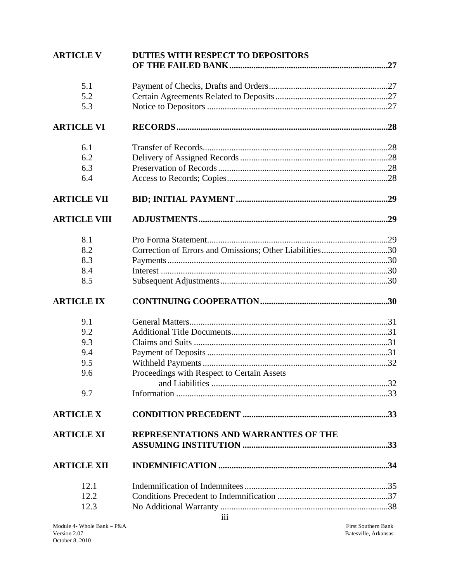| <b>ARTICLE V</b>    | <b>DUTIES WITH RESPECT TO DEPOSITORS</b>                |  |
|---------------------|---------------------------------------------------------|--|
| 5.1                 |                                                         |  |
| 5.2                 |                                                         |  |
| 5.3                 |                                                         |  |
| <b>ARTICLE VI</b>   |                                                         |  |
| 6.1                 |                                                         |  |
| 6.2                 |                                                         |  |
| 6.3                 |                                                         |  |
| 6.4                 |                                                         |  |
| <b>ARTICLE VII</b>  |                                                         |  |
| <b>ARTICLE VIII</b> |                                                         |  |
| 8.1                 |                                                         |  |
| 8.2                 | Correction of Errors and Omissions; Other Liabilities30 |  |
| 8.3                 |                                                         |  |
| 8.4                 |                                                         |  |
| 8.5                 |                                                         |  |
| <b>ARTICLE IX</b>   |                                                         |  |
| 9.1                 |                                                         |  |
| 9.2                 |                                                         |  |
| 9.3                 |                                                         |  |
| 9.4                 |                                                         |  |
| 9.5                 |                                                         |  |
| 9.6                 | Proceedings with Respect to Certain Assets              |  |
|                     |                                                         |  |
| 9.7                 |                                                         |  |
| <b>ARTICLE X</b>    |                                                         |  |
| <b>ARTICLE XI</b>   | REPRESENTATIONS AND WARRANTIES OF THE                   |  |
| <b>ARTICLE XII</b>  |                                                         |  |
| 12.1                |                                                         |  |
| 12.2                |                                                         |  |
| 12.3                |                                                         |  |
|                     |                                                         |  |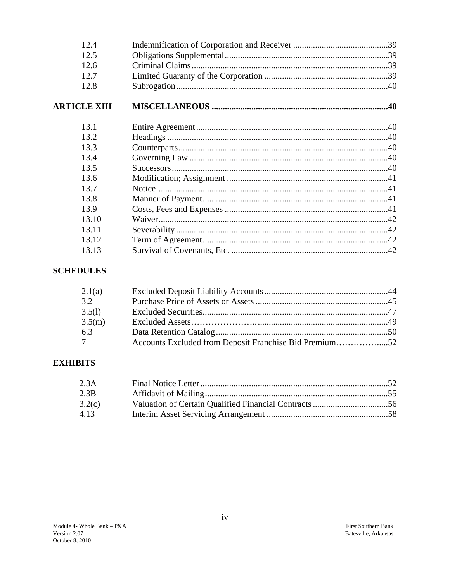| 12.4                |  |
|---------------------|--|
| 12.5                |  |
| 12.6                |  |
| 12.7                |  |
| 12.8                |  |
| <b>ARTICLE XIII</b> |  |
| 13.1                |  |
| 13.2                |  |
| 13.3                |  |
| 13.4                |  |
| 13.5                |  |
| 13.6                |  |
| 13.7                |  |
| 13.8                |  |
| 13.9                |  |
| 13.10               |  |
| 13.11               |  |
| 13.12               |  |
| 13.13               |  |

# **SCHEDULES**

| 2.1(a) |                                                        |  |
|--------|--------------------------------------------------------|--|
| 3.2    |                                                        |  |
| 3.5(l) |                                                        |  |
| 3.5(m) |                                                        |  |
| 6.3    |                                                        |  |
| 7      | Accounts Excluded from Deposit Franchise Bid Premium52 |  |

# **EXHIBITS**

| 2.3A   |  |
|--------|--|
| 2.3B   |  |
| 3.2(c) |  |
| 4.13   |  |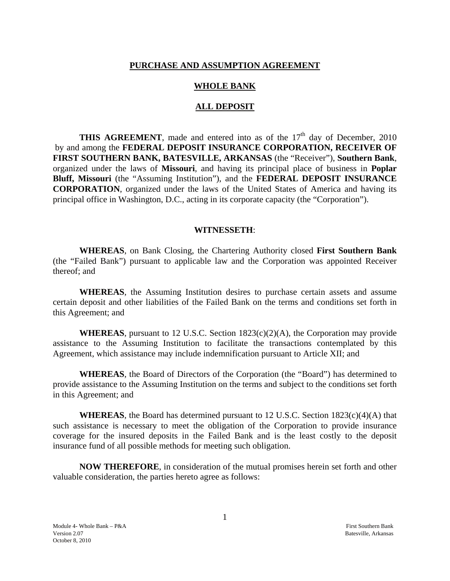#### **PURCHASE AND ASSUMPTION AGREEMENT**

#### **WHOLE BANK**

#### **ALL DEPOSIT**

**THIS AGREEMENT**, made and entered into as of the  $17<sup>th</sup>$  day of December, 2010 by and among the **FEDERAL DEPOSIT INSURANCE CORPORATION, RECEIVER OF FIRST SOUTHERN BANK, BATESVILLE, ARKANSAS** (the "Receiver"), **Southern Bank**, organized under the laws of **Missouri**, and having its principal place of business in **Poplar Bluff, Missouri** (the "Assuming Institution"), and the **FEDERAL DEPOSIT INSURANCE CORPORATION**, organized under the laws of the United States of America and having its principal office in Washington, D.C., acting in its corporate capacity (the "Corporation").

#### **WITNESSETH**:

**WHEREAS**, on Bank Closing, the Chartering Authority closed **First Southern Bank**  (the "Failed Bank") pursuant to applicable law and the Corporation was appointed Receiver thereof; and

**WHEREAS**, the Assuming Institution desires to purchase certain assets and assume certain deposit and other liabilities of the Failed Bank on the terms and conditions set forth in this Agreement; and

**WHEREAS**, pursuant to 12 U.S.C. Section 1823(c)(2)(A), the Corporation may provide assistance to the Assuming Institution to facilitate the transactions contemplated by this Agreement, which assistance may include indemnification pursuant to Article XII; and

**WHEREAS**, the Board of Directors of the Corporation (the "Board") has determined to provide assistance to the Assuming Institution on the terms and subject to the conditions set forth in this Agreement; and

**WHEREAS**, the Board has determined pursuant to 12 U.S.C. Section 1823(c)(4)(A) that such assistance is necessary to meet the obligation of the Corporation to provide insurance coverage for the insured deposits in the Failed Bank and is the least costly to the deposit insurance fund of all possible methods for meeting such obligation.

 **NOW THEREFORE**, in consideration of the mutual promises herein set forth and other valuable consideration, the parties hereto agree as follows: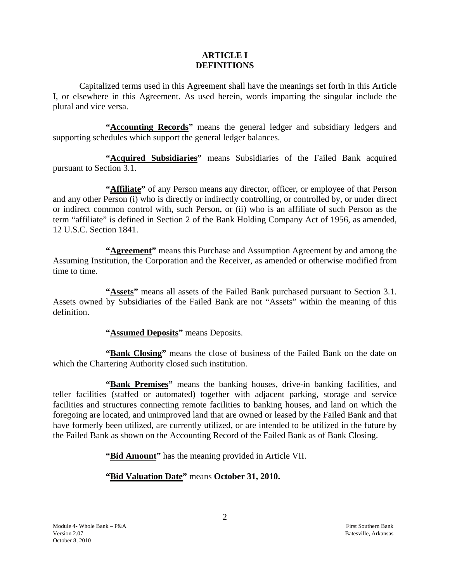## **ARTICLE I DEFINITIONS**

Capitalized terms used in this Agreement shall have the meanings set forth in this Article I, or elsewhere in this Agreement. As used herein, words imparting the singular include the plural and vice versa.

**"Accounting Records"** means the general ledger and subsidiary ledgers and supporting schedules which support the general ledger balances.

**"Acquired Subsidiaries"** means Subsidiaries of the Failed Bank acquired pursuant to Section 3.1.

**"Affiliate"** of any Person means any director, officer, or employee of that Person and any other Person (i) who is directly or indirectly controlling, or controlled by, or under direct or indirect common control with, such Person, or (ii) who is an affiliate of such Person as the term "affiliate" is defined in Section 2 of the Bank Holding Company Act of 1956, as amended, 12 U.S.C. Section 1841.

**"Agreement"** means this Purchase and Assumption Agreement by and among the Assuming Institution, the Corporation and the Receiver, as amended or otherwise modified from time to time.

**"Assets"** means all assets of the Failed Bank purchased pursuant to Section 3.1. Assets owned by Subsidiaries of the Failed Bank are not "Assets" within the meaning of this definition.

**"Assumed Deposits"** means Deposits.

**"Bank Closing"** means the close of business of the Failed Bank on the date on which the Chartering Authority closed such institution.

**"Bank Premises"** means the banking houses, drive-in banking facilities, and teller facilities (staffed or automated) together with adjacent parking, storage and service facilities and structures connecting remote facilities to banking houses, and land on which the foregoing are located, and unimproved land that are owned or leased by the Failed Bank and that have formerly been utilized, are currently utilized, or are intended to be utilized in the future by the Failed Bank as shown on the Accounting Record of the Failed Bank as of Bank Closing.

**"Bid Amount"** has the meaning provided in Article VII.

## **"Bid Valuation Date"** means **October 31, 2010.**

Module 4- Whole Bank – P&A First Southern Bank Version 2.07 Batesville, Arkansas October 8, 2010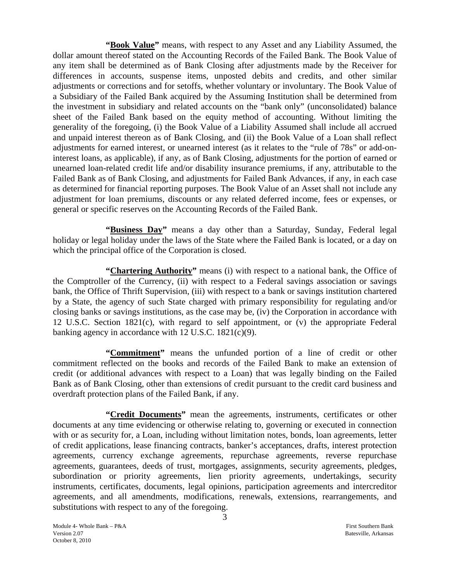**"Book Value"** means, with respect to any Asset and any Liability Assumed, the dollar amount thereof stated on the Accounting Records of the Failed Bank. The Book Value of any item shall be determined as of Bank Closing after adjustments made by the Receiver for differences in accounts, suspense items, unposted debits and credits, and other similar adjustments or corrections and for setoffs, whether voluntary or involuntary. The Book Value of a Subsidiary of the Failed Bank acquired by the Assuming Institution shall be determined from the investment in subsidiary and related accounts on the "bank only" (unconsolidated) balance sheet of the Failed Bank based on the equity method of accounting. Without limiting the generality of the foregoing, (i) the Book Value of a Liability Assumed shall include all accrued and unpaid interest thereon as of Bank Closing, and (ii) the Book Value of a Loan shall reflect adjustments for earned interest, or unearned interest (as it relates to the "rule of 78s" or add-oninterest loans, as applicable), if any, as of Bank Closing, adjustments for the portion of earned or unearned loan-related credit life and/or disability insurance premiums, if any, attributable to the Failed Bank as of Bank Closing, and adjustments for Failed Bank Advances, if any, in each case as determined for financial reporting purposes. The Book Value of an Asset shall not include any adjustment for loan premiums, discounts or any related deferred income, fees or expenses, or general or specific reserves on the Accounting Records of the Failed Bank.

**"Business Day"** means a day other than a Saturday, Sunday, Federal legal holiday or legal holiday under the laws of the State where the Failed Bank is located, or a day on which the principal office of the Corporation is closed.

**"Chartering Authority"** means (i) with respect to a national bank, the Office of the Comptroller of the Currency, (ii) with respect to a Federal savings association or savings bank, the Office of Thrift Supervision, (iii) with respect to a bank or savings institution chartered by a State, the agency of such State charged with primary responsibility for regulating and/or closing banks or savings institutions, as the case may be, (iv) the Corporation in accordance with 12 U.S.C. Section 1821(c), with regard to self appointment, or (v) the appropriate Federal banking agency in accordance with 12 U.S.C. 1821(c)(9).

**"Commitment"** means the unfunded portion of a line of credit or other commitment reflected on the books and records of the Failed Bank to make an extension of credit (or additional advances with respect to a Loan) that was legally binding on the Failed Bank as of Bank Closing, other than extensions of credit pursuant to the credit card business and overdraft protection plans of the Failed Bank, if any.

**"Credit Documents"** mean the agreements, instruments, certificates or other documents at any time evidencing or otherwise relating to, governing or executed in connection with or as security for, a Loan, including without limitation notes, bonds, loan agreements, letter of credit applications, lease financing contracts, banker's acceptances, drafts, interest protection agreements, currency exchange agreements, repurchase agreements, reverse repurchase agreements, guarantees, deeds of trust, mortgages, assignments, security agreements, pledges, subordination or priority agreements, lien priority agreements, undertakings, security instruments, certificates, documents, legal opinions, participation agreements and intercreditor agreements, and all amendments, modifications, renewals, extensions, rearrangements, and substitutions with respect to any of the foregoing.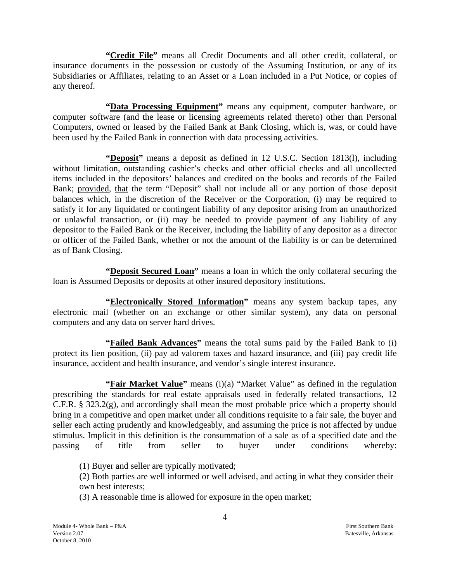**"Credit File"** means all Credit Documents and all other credit, collateral, or insurance documents in the possession or custody of the Assuming Institution, or any of its Subsidiaries or Affiliates, relating to an Asset or a Loan included in a Put Notice, or copies of any thereof.

**"Data Processing Equipment"** means any equipment, computer hardware, or computer software (and the lease or licensing agreements related thereto) other than Personal Computers, owned or leased by the Failed Bank at Bank Closing, which is, was, or could have been used by the Failed Bank in connection with data processing activities.

**"Deposit"** means a deposit as defined in 12 U.S.C. Section 1813(l), including without limitation, outstanding cashier's checks and other official checks and all uncollected items included in the depositors' balances and credited on the books and records of the Failed Bank; provided, that the term "Deposit" shall not include all or any portion of those deposit balances which, in the discretion of the Receiver or the Corporation, (i) may be required to satisfy it for any liquidated or contingent liability of any depositor arising from an unauthorized or unlawful transaction, or (ii) may be needed to provide payment of any liability of any depositor to the Failed Bank or the Receiver, including the liability of any depositor as a director or officer of the Failed Bank, whether or not the amount of the liability is or can be determined as of Bank Closing.

**"Deposit Secured Loan"** means a loan in which the only collateral securing the loan is Assumed Deposits or deposits at other insured depository institutions.

"**Electronically Stored Information**" means any system backup tapes, any electronic mail (whether on an exchange or other similar system), any data on personal computers and any data on server hard drives.

**"Failed Bank Advances"** means the total sums paid by the Failed Bank to (i) protect its lien position, (ii) pay ad valorem taxes and hazard insurance, and (iii) pay credit life insurance, accident and health insurance, and vendor's single interest insurance.

**"Fair Market Value"** means (i)(a) "Market Value" as defined in the regulation prescribing the standards for real estate appraisals used in federally related transactions, 12 C.F.R. § 323.2(g), and accordingly shall mean the most probable price which a property should bring in a competitive and open market under all conditions requisite to a fair sale, the buyer and seller each acting prudently and knowledgeably, and assuming the price is not affected by undue stimulus. Implicit in this definition is the consummation of a sale as of a specified date and the passing of title from seller to buyer under conditions whereby:

(1) Buyer and seller are typically motivated;

(2) Both parties are well informed or well advised, and acting in what they consider their own best interests;

(3) A reasonable time is allowed for exposure in the open market;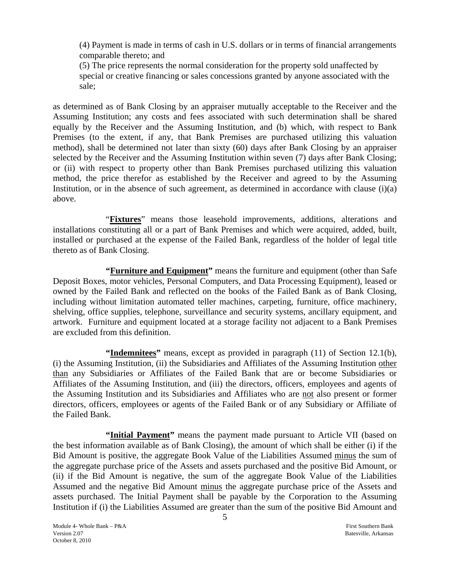(4) Payment is made in terms of cash in U.S. dollars or in terms of financial arrangements comparable thereto; and

(5) The price represents the normal consideration for the property sold unaffected by special or creative financing or sales concessions granted by anyone associated with the sale;

as determined as of Bank Closing by an appraiser mutually acceptable to the Receiver and the Assuming Institution; any costs and fees associated with such determination shall be shared equally by the Receiver and the Assuming Institution, and (b) which, with respect to Bank Premises (to the extent, if any, that Bank Premises are purchased utilizing this valuation method), shall be determined not later than sixty (60) days after Bank Closing by an appraiser selected by the Receiver and the Assuming Institution within seven (7) days after Bank Closing; or (ii) with respect to property other than Bank Premises purchased utilizing this valuation method, the price therefor as established by the Receiver and agreed to by the Assuming Institution, or in the absence of such agreement, as determined in accordance with clause  $(i)(a)$ above.

"**Fixtures**" means those leasehold improvements, additions, alterations and installations constituting all or a part of Bank Premises and which were acquired, added, built, installed or purchased at the expense of the Failed Bank, regardless of the holder of legal title thereto as of Bank Closing.

"**Furniture and Equipment**" means the furniture and equipment (other than Safe Deposit Boxes, motor vehicles, Personal Computers, and Data Processing Equipment), leased or owned by the Failed Bank and reflected on the books of the Failed Bank as of Bank Closing, including without limitation automated teller machines, carpeting, furniture, office machinery, shelving, office supplies, telephone, surveillance and security systems, ancillary equipment, and artwork. Furniture and equipment located at a storage facility not adjacent to a Bank Premises are excluded from this definition.

**"Indemnitees"** means, except as provided in paragraph (11) of Section 12.1(b), (i) the Assuming Institution, (ii) the Subsidiaries and Affiliates of the Assuming Institution other than any Subsidiaries or Affiliates of the Failed Bank that are or become Subsidiaries or Affiliates of the Assuming Institution, and (iii) the directors, officers, employees and agents of the Assuming Institution and its Subsidiaries and Affiliates who are not also present or former directors, officers, employees or agents of the Failed Bank or of any Subsidiary or Affiliate of the Failed Bank.

"**Initial Payment**" means the payment made pursuant to Article VII (based on the best information available as of Bank Closing), the amount of which shall be either (i) if the Bid Amount is positive, the aggregate Book Value of the Liabilities Assumed minus the sum of the aggregate purchase price of the Assets and assets purchased and the positive Bid Amount, or (ii) if the Bid Amount is negative, the sum of the aggregate Book Value of the Liabilities Assumed and the negative Bid Amount minus the aggregate purchase price of the Assets and assets purchased. The Initial Payment shall be payable by the Corporation to the Assuming Institution if (i) the Liabilities Assumed are greater than the sum of the positive Bid Amount and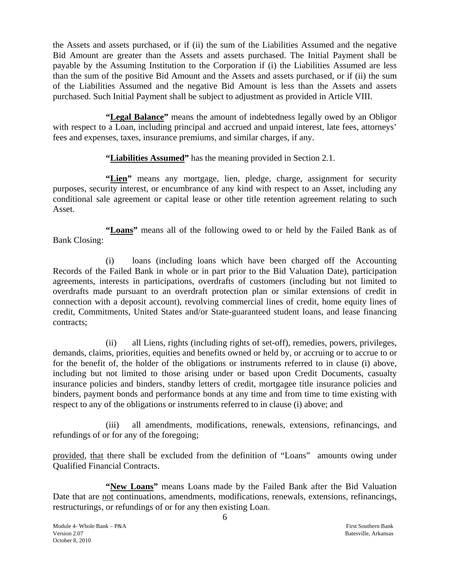the Assets and assets purchased, or if (ii) the sum of the Liabilities Assumed and the negative Bid Amount are greater than the Assets and assets purchased. The Initial Payment shall be payable by the Assuming Institution to the Corporation if (i) the Liabilities Assumed are less than the sum of the positive Bid Amount and the Assets and assets purchased, or if (ii) the sum of the Liabilities Assumed and the negative Bid Amount is less than the Assets and assets purchased. Such Initial Payment shall be subject to adjustment as provided in Article VIII.

**"Legal Balance"** means the amount of indebtedness legally owed by an Obligor with respect to a Loan, including principal and accrued and unpaid interest, late fees, attorneys' fees and expenses, taxes, insurance premiums, and similar charges, if any.

# **"Liabilities Assumed"** has the meaning provided in Section 2.1.

**"Lien"** means any mortgage, lien, pledge, charge, assignment for security purposes, security interest, or encumbrance of any kind with respect to an Asset, including any conditional sale agreement or capital lease or other title retention agreement relating to such Asset.

**"Loans"** means all of the following owed to or held by the Failed Bank as of Bank Closing:

(i) loans (including loans which have been charged off the Accounting Records of the Failed Bank in whole or in part prior to the Bid Valuation Date), participation agreements, interests in participations, overdrafts of customers (including but not limited to overdrafts made pursuant to an overdraft protection plan or similar extensions of credit in connection with a deposit account), revolving commercial lines of credit, home equity lines of credit, Commitments, United States and/or State-guaranteed student loans, and lease financing contracts;

(ii) all Liens, rights (including rights of set-off), remedies, powers, privileges, demands, claims, priorities, equities and benefits owned or held by, or accruing or to accrue to or for the benefit of, the holder of the obligations or instruments referred to in clause (i) above, including but not limited to those arising under or based upon Credit Documents, casualty insurance policies and binders, standby letters of credit, mortgagee title insurance policies and binders, payment bonds and performance bonds at any time and from time to time existing with respect to any of the obligations or instruments referred to in clause (i) above; and

(iii) all amendments, modifications, renewals, extensions, refinancings, and refundings of or for any of the foregoing;

provided, that there shall be excluded from the definition of "Loans" amounts owing under Qualified Financial Contracts.

**"New Loans"** means Loans made by the Failed Bank after the Bid Valuation Date that are not continuations, amendments, modifications, renewals, extensions, refinancings, restructurings, or refundings of or for any then existing Loan.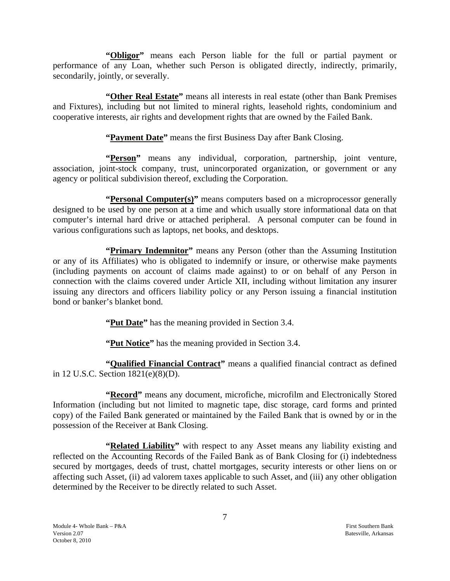**"Obligor"** means each Person liable for the full or partial payment or performance of any Loan, whether such Person is obligated directly, indirectly, primarily, secondarily, jointly, or severally.

**"Other Real Estate"** means all interests in real estate (other than Bank Premises and Fixtures), including but not limited to mineral rights, leasehold rights, condominium and cooperative interests, air rights and development rights that are owned by the Failed Bank.

**"Payment Date"** means the first Business Day after Bank Closing.

"Person" means any individual, corporation, partnership, joint venture, association, joint-stock company, trust, unincorporated organization, or government or any agency or political subdivision thereof, excluding the Corporation.

**"Personal Computer(s)"** means computers based on a microprocessor generally designed to be used by one person at a time and which usually store informational data on that computer's internal hard drive or attached peripheral. A personal computer can be found in various configurations such as laptops, net books, and desktops.

**"Primary Indemnitor"** means any Person (other than the Assuming Institution or any of its Affiliates) who is obligated to indemnify or insure, or otherwise make payments (including payments on account of claims made against) to or on behalf of any Person in connection with the claims covered under Article XII, including without limitation any insurer issuing any directors and officers liability policy or any Person issuing a financial institution bond or banker's blanket bond.

**"Put Date"** has the meaning provided in Section 3.4.

**"Put Notice"** has the meaning provided in Section 3.4.

**"Qualified Financial Contract"** means a qualified financial contract as defined in 12 U.S.C. Section 1821(e)(8)(D).

**"Record"** means any document, microfiche, microfilm and Electronically Stored Information (including but not limited to magnetic tape, disc storage, card forms and printed copy) of the Failed Bank generated or maintained by the Failed Bank that is owned by or in the possession of the Receiver at Bank Closing.

**"Related Liability"** with respect to any Asset means any liability existing and reflected on the Accounting Records of the Failed Bank as of Bank Closing for (i) indebtedness secured by mortgages, deeds of trust, chattel mortgages, security interests or other liens on or affecting such Asset, (ii) ad valorem taxes applicable to such Asset, and (iii) any other obligation determined by the Receiver to be directly related to such Asset.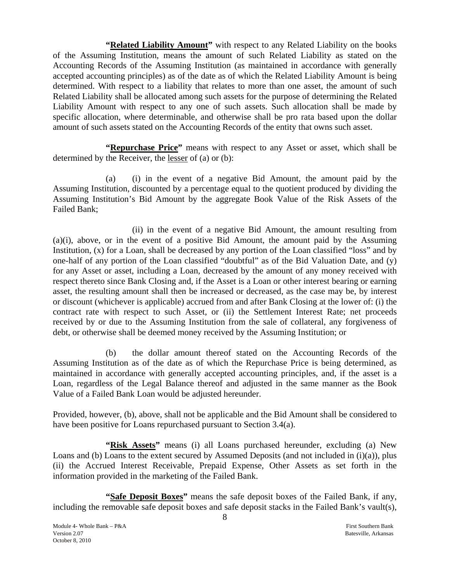**"Related Liability Amount"** with respect to any Related Liability on the books of the Assuming Institution, means the amount of such Related Liability as stated on the Accounting Records of the Assuming Institution (as maintained in accordance with generally accepted accounting principles) as of the date as of which the Related Liability Amount is being determined. With respect to a liability that relates to more than one asset, the amount of such Related Liability shall be allocated among such assets for the purpose of determining the Related Liability Amount with respect to any one of such assets. Such allocation shall be made by specific allocation, where determinable, and otherwise shall be pro rata based upon the dollar amount of such assets stated on the Accounting Records of the entity that owns such asset.

**"Repurchase Price"** means with respect to any Asset or asset, which shall be determined by the Receiver, the lesser of (a) or (b):

(a) (i) in the event of a negative Bid Amount, the amount paid by the Assuming Institution, discounted by a percentage equal to the quotient produced by dividing the Assuming Institution's Bid Amount by the aggregate Book Value of the Risk Assets of the Failed Bank;

(ii) in the event of a negative Bid Amount, the amount resulting from (a)(i), above, or in the event of a positive Bid Amount, the amount paid by the Assuming Institution, (x) for a Loan, shall be decreased by any portion of the Loan classified "loss" and by one-half of any portion of the Loan classified "doubtful" as of the Bid Valuation Date, and (y) for any Asset or asset, including a Loan, decreased by the amount of any money received with respect thereto since Bank Closing and, if the Asset is a Loan or other interest bearing or earning asset, the resulting amount shall then be increased or decreased, as the case may be, by interest or discount (whichever is applicable) accrued from and after Bank Closing at the lower of: (i) the contract rate with respect to such Asset, or (ii) the Settlement Interest Rate; net proceeds received by or due to the Assuming Institution from the sale of collateral, any forgiveness of debt, or otherwise shall be deemed money received by the Assuming Institution; or

(b) the dollar amount thereof stated on the Accounting Records of the Assuming Institution as of the date as of which the Repurchase Price is being determined, as maintained in accordance with generally accepted accounting principles, and, if the asset is a Loan, regardless of the Legal Balance thereof and adjusted in the same manner as the Book Value of a Failed Bank Loan would be adjusted hereunder.

Provided, however, (b), above, shall not be applicable and the Bid Amount shall be considered to have been positive for Loans repurchased pursuant to Section 3.4(a).

**"Risk Assets"** means (i) all Loans purchased hereunder, excluding (a) New Loans and (b) Loans to the extent secured by Assumed Deposits (and not included in (i)(a)), plus (ii) the Accrued Interest Receivable, Prepaid Expense, Other Assets as set forth in the information provided in the marketing of the Failed Bank.

**"Safe Deposit Boxes"** means the safe deposit boxes of the Failed Bank, if any, including the removable safe deposit boxes and safe deposit stacks in the Failed Bank's vault(s),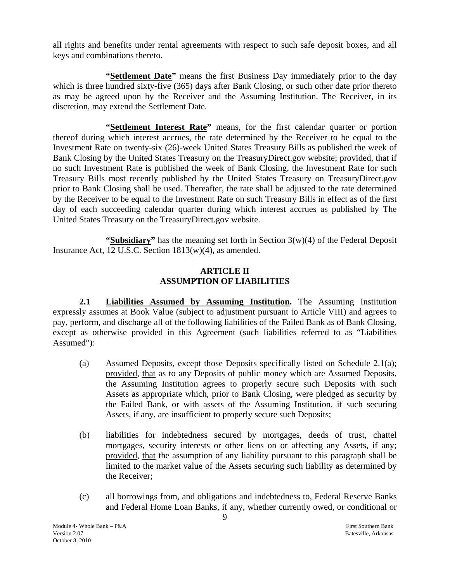all rights and benefits under rental agreements with respect to such safe deposit boxes, and all keys and combinations thereto.

**"Settlement Date"** means the first Business Day immediately prior to the day which is three hundred sixty-five (365) days after Bank Closing, or such other date prior thereto as may be agreed upon by the Receiver and the Assuming Institution. The Receiver, in its discretion, may extend the Settlement Date.

**"Settlement Interest Rate"** means, for the first calendar quarter or portion thereof during which interest accrues, the rate determined by the Receiver to be equal to the Investment Rate on twenty-six (26)-week United States Treasury Bills as published the week of Bank Closing by the United States Treasury on the TreasuryDirect.gov website; provided, that if no such Investment Rate is published the week of Bank Closing, the Investment Rate for such Treasury Bills most recently published by the United States Treasury on TreasuryDirect.gov prior to Bank Closing shall be used. Thereafter, the rate shall be adjusted to the rate determined by the Receiver to be equal to the Investment Rate on such Treasury Bills in effect as of the first day of each succeeding calendar quarter during which interest accrues as published by The United States Treasury on the TreasuryDirect.gov website.

**"Subsidiary"** has the meaning set forth in Section 3(w)(4) of the Federal Deposit Insurance Act, 12 U.S.C. Section 1813(w)(4), as amended.

## **ARTICLE II ASSUMPTION OF LIABILITIES**

 **2.1 Liabilities Assumed by Assuming Institution.** The Assuming Institution expressly assumes at Book Value (subject to adjustment pursuant to Article VIII) and agrees to pay, perform, and discharge all of the following liabilities of the Failed Bank as of Bank Closing, except as otherwise provided in this Agreement (such liabilities referred to as "Liabilities Assumed"):

- (a) Assumed Deposits, except those Deposits specifically listed on Schedule 2.1(a); provided, that as to any Deposits of public money which are Assumed Deposits, the Assuming Institution agrees to properly secure such Deposits with such Assets as appropriate which, prior to Bank Closing, were pledged as security by the Failed Bank, or with assets of the Assuming Institution, if such securing Assets, if any, are insufficient to properly secure such Deposits;
- (b) liabilities for indebtedness secured by mortgages, deeds of trust, chattel mortgages, security interests or other liens on or affecting any Assets, if any; provided, that the assumption of any liability pursuant to this paragraph shall be limited to the market value of the Assets securing such liability as determined by the Receiver;
- (c) all borrowings from, and obligations and indebtedness to, Federal Reserve Banks and Federal Home Loan Banks, if any, whether currently owed, or conditional or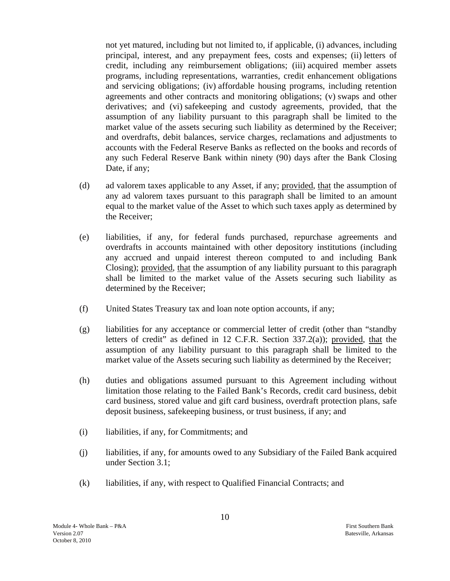not yet matured, including but not limited to, if applicable, (i) advances, including principal, interest, and any prepayment fees, costs and expenses; (ii) letters of credit, including any reimbursement obligations; (iii) acquired member assets programs, including representations, warranties, credit enhancement obligations and servicing obligations; (iv) affordable housing programs, including retention agreements and other contracts and monitoring obligations; (v) swaps and other derivatives; and (vi) safekeeping and custody agreements, provided, that the assumption of any liability pursuant to this paragraph shall be limited to the market value of the assets securing such liability as determined by the Receiver; and overdrafts, debit balances, service charges, reclamations and adjustments to accounts with the Federal Reserve Banks as reflected on the books and records of any such Federal Reserve Bank within ninety (90) days after the Bank Closing Date, if any;

- (d) ad valorem taxes applicable to any Asset, if any; provided, that the assumption of any ad valorem taxes pursuant to this paragraph shall be limited to an amount equal to the market value of the Asset to which such taxes apply as determined by the Receiver;
- (e) liabilities, if any, for federal funds purchased, repurchase agreements and overdrafts in accounts maintained with other depository institutions (including any accrued and unpaid interest thereon computed to and including Bank Closing); provided, that the assumption of any liability pursuant to this paragraph shall be limited to the market value of the Assets securing such liability as determined by the Receiver;
- (f) United States Treasury tax and loan note option accounts, if any;
- (g) liabilities for any acceptance or commercial letter of credit (other than "standby letters of credit" as defined in 12 C.F.R. Section 337.2(a)); provided, that the assumption of any liability pursuant to this paragraph shall be limited to the market value of the Assets securing such liability as determined by the Receiver;
- (h) duties and obligations assumed pursuant to this Agreement including without limitation those relating to the Failed Bank's Records, credit card business, debit card business, stored value and gift card business, overdraft protection plans, safe deposit business, safekeeping business, or trust business, if any; and
- (i) liabilities, if any, for Commitments; and
- (j) liabilities, if any, for amounts owed to any Subsidiary of the Failed Bank acquired under Section 3.1;
- (k) liabilities, if any, with respect to Qualified Financial Contracts; and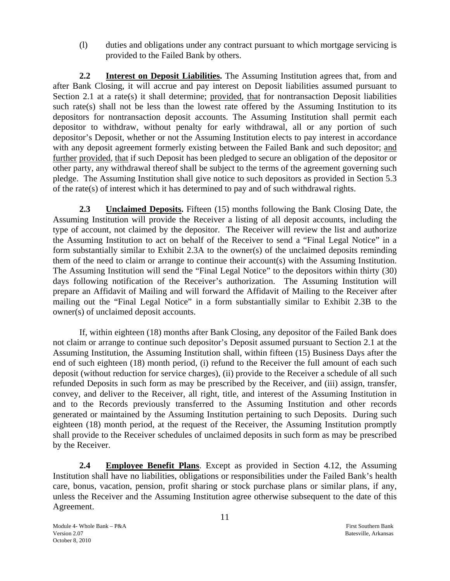(l) duties and obligations under any contract pursuant to which mortgage servicing is provided to the Failed Bank by others.

**2.2 Interest on Deposit Liabilities.** The Assuming Institution agrees that, from and after Bank Closing, it will accrue and pay interest on Deposit liabilities assumed pursuant to Section 2.1 at a rate(s) it shall determine; provided, that for nontransaction Deposit liabilities such rate(s) shall not be less than the lowest rate offered by the Assuming Institution to its depositors for nontransaction deposit accounts. The Assuming Institution shall permit each depositor to withdraw, without penalty for early withdrawal, all or any portion of such depositor's Deposit, whether or not the Assuming Institution elects to pay interest in accordance with any deposit agreement formerly existing between the Failed Bank and such depositor; and further provided, that if such Deposit has been pledged to secure an obligation of the depositor or other party, any withdrawal thereof shall be subject to the terms of the agreement governing such pledge. The Assuming Institution shall give notice to such depositors as provided in Section 5.3 of the rate(s) of interest which it has determined to pay and of such withdrawal rights.

**2.3 Unclaimed Deposits.** Fifteen (15) months following the Bank Closing Date, the Assuming Institution will provide the Receiver a listing of all deposit accounts, including the type of account, not claimed by the depositor. The Receiver will review the list and authorize the Assuming Institution to act on behalf of the Receiver to send a "Final Legal Notice" in a form substantially similar to Exhibit 2.3A to the owner(s) of the unclaimed deposits reminding them of the need to claim or arrange to continue their account(s) with the Assuming Institution. The Assuming Institution will send the "Final Legal Notice" to the depositors within thirty (30) days following notification of the Receiver's authorization. The Assuming Institution will prepare an Affidavit of Mailing and will forward the Affidavit of Mailing to the Receiver after mailing out the "Final Legal Notice" in a form substantially similar to Exhibit 2.3B to the owner(s) of unclaimed deposit accounts.

If, within eighteen (18) months after Bank Closing, any depositor of the Failed Bank does not claim or arrange to continue such depositor's Deposit assumed pursuant to Section 2.1 at the Assuming Institution, the Assuming Institution shall, within fifteen (15) Business Days after the end of such eighteen (18) month period, (i) refund to the Receiver the full amount of each such deposit (without reduction for service charges), (ii) provide to the Receiver a schedule of all such refunded Deposits in such form as may be prescribed by the Receiver, and (iii) assign, transfer, convey, and deliver to the Receiver, all right, title, and interest of the Assuming Institution in and to the Records previously transferred to the Assuming Institution and other records generated or maintained by the Assuming Institution pertaining to such Deposits. During such eighteen (18) month period, at the request of the Receiver, the Assuming Institution promptly shall provide to the Receiver schedules of unclaimed deposits in such form as may be prescribed by the Receiver.

**2.4 Employee Benefit Plans**. Except as provided in Section 4.12, the Assuming Institution shall have no liabilities, obligations or responsibilities under the Failed Bank's health care, bonus, vacation, pension, profit sharing or stock purchase plans or similar plans, if any, unless the Receiver and the Assuming Institution agree otherwise subsequent to the date of this Agreement.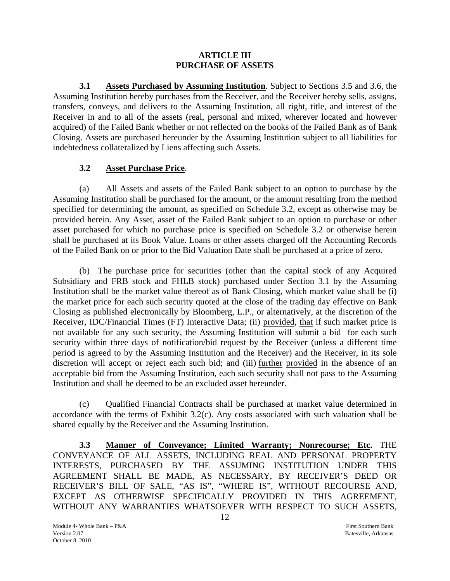#### **ARTICLE III PURCHASE OF ASSETS**

 **3.1 Assets Purchased by Assuming Institution**. Subject to Sections 3.5 and 3.6, the Assuming Institution hereby purchases from the Receiver, and the Receiver hereby sells, assigns, transfers, conveys, and delivers to the Assuming Institution, all right, title, and interest of the Receiver in and to all of the assets (real, personal and mixed, wherever located and however acquired) of the Failed Bank whether or not reflected on the books of the Failed Bank as of Bank Closing. Assets are purchased hereunder by the Assuming Institution subject to all liabilities for indebtedness collateralized by Liens affecting such Assets.

## **3.2 Asset Purchase Price**.

(a) All Assets and assets of the Failed Bank subject to an option to purchase by the Assuming Institution shall be purchased for the amount, or the amount resulting from the method specified for determining the amount, as specified on Schedule 3.2, except as otherwise may be provided herein. Any Asset, asset of the Failed Bank subject to an option to purchase or other asset purchased for which no purchase price is specified on Schedule 3.2 or otherwise herein shall be purchased at its Book Value. Loans or other assets charged off the Accounting Records of the Failed Bank on or prior to the Bid Valuation Date shall be purchased at a price of zero.

(b) The purchase price for securities (other than the capital stock of any Acquired Subsidiary and FRB stock and FHLB stock) purchased under Section 3.1 by the Assuming Institution shall be the market value thereof as of Bank Closing, which market value shall be (i) the market price for each such security quoted at the close of the trading day effective on Bank Closing as published electronically by Bloomberg, L.P., or alternatively, at the discretion of the Receiver, IDC/Financial Times (FT) Interactive Data; (ii) provided, that if such market price is not available for any such security, the Assuming Institution will submit a bid for each such security within three days of notification/bid request by the Receiver (unless a different time period is agreed to by the Assuming Institution and the Receiver) and the Receiver, in its sole discretion will accept or reject each such bid; and (iii) further provided in the absence of an acceptable bid from the Assuming Institution, each such security shall not pass to the Assuming Institution and shall be deemed to be an excluded asset hereunder.

(c) Qualified Financial Contracts shall be purchased at market value determined in accordance with the terms of Exhibit 3.2(c). Any costs associated with such valuation shall be shared equally by the Receiver and the Assuming Institution.

**3.3 Manner of Conveyance; Limited Warranty; Nonrecourse; Etc.** THE CONVEYANCE OF ALL ASSETS, INCLUDING REAL AND PERSONAL PROPERTY INTERESTS, PURCHASED BY THE ASSUMING INSTITUTION UNDER THIS AGREEMENT SHALL BE MADE, AS NECESSARY, BY RECEIVER'S DEED OR RECEIVER'S BILL OF SALE, "AS IS", "WHERE IS", WITHOUT RECOURSE AND, EXCEPT AS OTHERWISE SPECIFICALLY PROVIDED IN THIS AGREEMENT, WITHOUT ANY WARRANTIES WHATSOEVER WITH RESPECT TO SUCH ASSETS,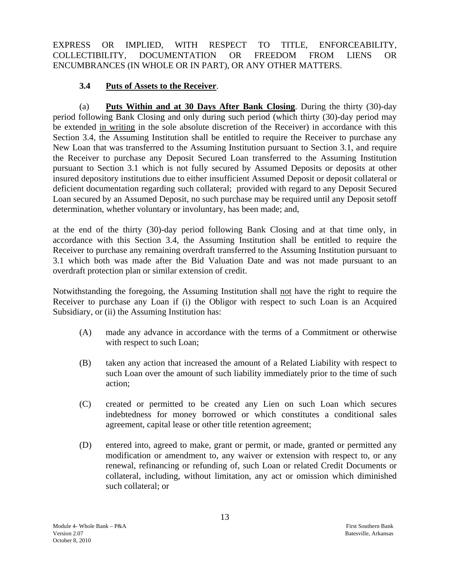EXPRESS OR IMPLIED, WITH RESPECT TO TITLE, ENFORCEABILITY, COLLECTIBILITY, DOCUMENTATION OR FREEDOM FROM LIENS OR ENCUMBRANCES (IN WHOLE OR IN PART), OR ANY OTHER MATTERS.

## **3.4 Puts of Assets to the Receiver**.

(a) **Puts Within and at 30 Days After Bank Closing**. During the thirty (30)-day period following Bank Closing and only during such period (which thirty (30)-day period may be extended in writing in the sole absolute discretion of the Receiver) in accordance with this Section 3.4, the Assuming Institution shall be entitled to require the Receiver to purchase any New Loan that was transferred to the Assuming Institution pursuant to Section 3.1, and require the Receiver to purchase any Deposit Secured Loan transferred to the Assuming Institution pursuant to Section 3.1 which is not fully secured by Assumed Deposits or deposits at other insured depository institutions due to either insufficient Assumed Deposit or deposit collateral or deficient documentation regarding such collateral; provided with regard to any Deposit Secured Loan secured by an Assumed Deposit, no such purchase may be required until any Deposit setoff determination, whether voluntary or involuntary, has been made; and,

at the end of the thirty (30)-day period following Bank Closing and at that time only, in accordance with this Section 3.4, the Assuming Institution shall be entitled to require the Receiver to purchase any remaining overdraft transferred to the Assuming Institution pursuant to 3.1 which both was made after the Bid Valuation Date and was not made pursuant to an overdraft protection plan or similar extension of credit.

Notwithstanding the foregoing, the Assuming Institution shall not have the right to require the Receiver to purchase any Loan if (i) the Obligor with respect to such Loan is an Acquired Subsidiary, or (ii) the Assuming Institution has:

- (A) made any advance in accordance with the terms of a Commitment or otherwise with respect to such Loan;
- (B) taken any action that increased the amount of a Related Liability with respect to such Loan over the amount of such liability immediately prior to the time of such action;
- (C) created or permitted to be created any Lien on such Loan which secures indebtedness for money borrowed or which constitutes a conditional sales agreement, capital lease or other title retention agreement;
- (D) entered into, agreed to make, grant or permit, or made, granted or permitted any modification or amendment to, any waiver or extension with respect to, or any renewal, refinancing or refunding of, such Loan or related Credit Documents or collateral, including, without limitation, any act or omission which diminished such collateral; or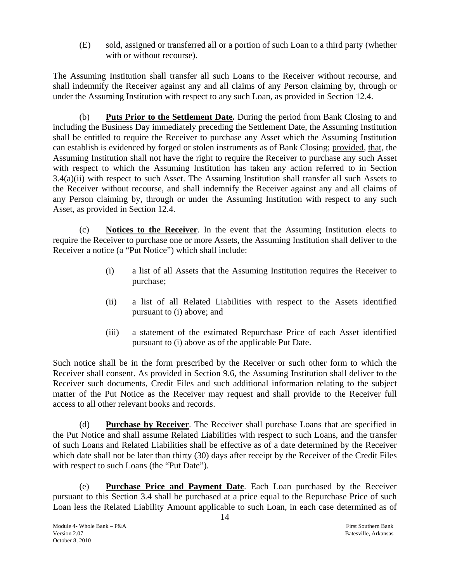(E) sold, assigned or transferred all or a portion of such Loan to a third party (whether with or without recourse).

The Assuming Institution shall transfer all such Loans to the Receiver without recourse, and shall indemnify the Receiver against any and all claims of any Person claiming by, through or under the Assuming Institution with respect to any such Loan, as provided in Section 12.4.

(b) **Puts Prior to the Settlement Date.** During the period from Bank Closing to and including the Business Day immediately preceding the Settlement Date, the Assuming Institution shall be entitled to require the Receiver to purchase any Asset which the Assuming Institution can establish is evidenced by forged or stolen instruments as of Bank Closing; provided, that, the Assuming Institution shall not have the right to require the Receiver to purchase any such Asset with respect to which the Assuming Institution has taken any action referred to in Section 3.4(a)(ii) with respect to such Asset. The Assuming Institution shall transfer all such Assets to the Receiver without recourse, and shall indemnify the Receiver against any and all claims of any Person claiming by, through or under the Assuming Institution with respect to any such Asset, as provided in Section 12.4.

(c) **Notices to the Receiver**. In the event that the Assuming Institution elects to require the Receiver to purchase one or more Assets, the Assuming Institution shall deliver to the Receiver a notice (a "Put Notice") which shall include:

- (i) a list of all Assets that the Assuming Institution requires the Receiver to purchase;
- (ii) a list of all Related Liabilities with respect to the Assets identified pursuant to (i) above; and
- (iii) a statement of the estimated Repurchase Price of each Asset identified pursuant to (i) above as of the applicable Put Date.

Such notice shall be in the form prescribed by the Receiver or such other form to which the Receiver shall consent. As provided in Section 9.6, the Assuming Institution shall deliver to the Receiver such documents, Credit Files and such additional information relating to the subject matter of the Put Notice as the Receiver may request and shall provide to the Receiver full access to all other relevant books and records.

(d) **Purchase by Receiver**. The Receiver shall purchase Loans that are specified in the Put Notice and shall assume Related Liabilities with respect to such Loans, and the transfer of such Loans and Related Liabilities shall be effective as of a date determined by the Receiver which date shall not be later than thirty (30) days after receipt by the Receiver of the Credit Files with respect to such Loans (the "Put Date").

(e) **Purchase Price and Payment Date**. Each Loan purchased by the Receiver pursuant to this Section 3.4 shall be purchased at a price equal to the Repurchase Price of such Loan less the Related Liability Amount applicable to such Loan, in each case determined as of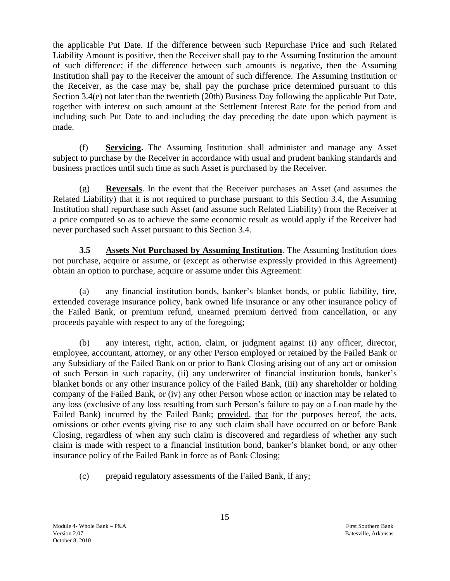the applicable Put Date. If the difference between such Repurchase Price and such Related Liability Amount is positive, then the Receiver shall pay to the Assuming Institution the amount of such difference; if the difference between such amounts is negative, then the Assuming Institution shall pay to the Receiver the amount of such difference. The Assuming Institution or the Receiver, as the case may be, shall pay the purchase price determined pursuant to this Section 3.4(e) not later than the twentieth (20th) Business Day following the applicable Put Date, together with interest on such amount at the Settlement Interest Rate for the period from and including such Put Date to and including the day preceding the date upon which payment is made.

(f) **Servicing.** The Assuming Institution shall administer and manage any Asset subject to purchase by the Receiver in accordance with usual and prudent banking standards and business practices until such time as such Asset is purchased by the Receiver.

(g) **Reversals**. In the event that the Receiver purchases an Asset (and assumes the Related Liability) that it is not required to purchase pursuant to this Section 3.4, the Assuming Institution shall repurchase such Asset (and assume such Related Liability) from the Receiver at a price computed so as to achieve the same economic result as would apply if the Receiver had never purchased such Asset pursuant to this Section 3.4.

**3.5 Assets Not Purchased by Assuming Institution**. The Assuming Institution does not purchase, acquire or assume, or (except as otherwise expressly provided in this Agreement) obtain an option to purchase, acquire or assume under this Agreement:

(a) any financial institution bonds, banker's blanket bonds, or public liability, fire, extended coverage insurance policy, bank owned life insurance or any other insurance policy of the Failed Bank, or premium refund, unearned premium derived from cancellation, or any proceeds payable with respect to any of the foregoing;

(b) any interest, right, action, claim, or judgment against (i) any officer, director, employee, accountant, attorney, or any other Person employed or retained by the Failed Bank or any Subsidiary of the Failed Bank on or prior to Bank Closing arising out of any act or omission of such Person in such capacity, (ii) any underwriter of financial institution bonds, banker's blanket bonds or any other insurance policy of the Failed Bank, (iii) any shareholder or holding company of the Failed Bank, or (iv) any other Person whose action or inaction may be related to any loss (exclusive of any loss resulting from such Person's failure to pay on a Loan made by the Failed Bank) incurred by the Failed Bank; provided, that for the purposes hereof, the acts, omissions or other events giving rise to any such claim shall have occurred on or before Bank Closing, regardless of when any such claim is discovered and regardless of whether any such claim is made with respect to a financial institution bond, banker's blanket bond, or any other insurance policy of the Failed Bank in force as of Bank Closing;

(c) prepaid regulatory assessments of the Failed Bank, if any;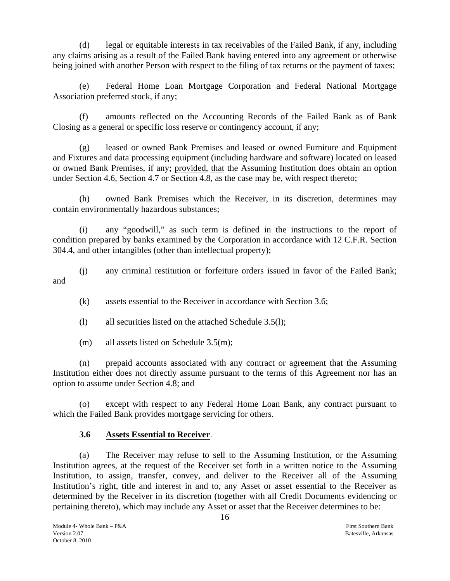(d) legal or equitable interests in tax receivables of the Failed Bank, if any, including any claims arising as a result of the Failed Bank having entered into any agreement or otherwise being joined with another Person with respect to the filing of tax returns or the payment of taxes;

(e) Federal Home Loan Mortgage Corporation and Federal National Mortgage Association preferred stock, if any;

(f) amounts reflected on the Accounting Records of the Failed Bank as of Bank Closing as a general or specific loss reserve or contingency account, if any;

(g) leased or owned Bank Premises and leased or owned Furniture and Equipment and Fixtures and data processing equipment (including hardware and software) located on leased or owned Bank Premises, if any; provided, that the Assuming Institution does obtain an option under Section 4.6, Section 4.7 or Section 4.8, as the case may be, with respect thereto;

(h) owned Bank Premises which the Receiver, in its discretion, determines may contain environmentally hazardous substances;

(i) any "goodwill," as such term is defined in the instructions to the report of condition prepared by banks examined by the Corporation in accordance with 12 C.F.R. Section 304.4, and other intangibles (other than intellectual property);

(j) any criminal restitution or forfeiture orders issued in favor of the Failed Bank; and

(k) assets essential to the Receiver in accordance with Section 3.6;

(l) all securities listed on the attached Schedule 3.5(l);

(m) all assets listed on Schedule 3.5(m);

(n) prepaid accounts associated with any contract or agreement that the Assuming Institution either does not directly assume pursuant to the terms of this Agreement nor has an option to assume under Section 4.8; and

(o) except with respect to any Federal Home Loan Bank, any contract pursuant to which the Failed Bank provides mortgage servicing for others.

## **3.6 Assets Essential to Receiver**.

(a) The Receiver may refuse to sell to the Assuming Institution, or the Assuming Institution agrees, at the request of the Receiver set forth in a written notice to the Assuming Institution, to assign, transfer, convey, and deliver to the Receiver all of the Assuming Institution's right, title and interest in and to, any Asset or asset essential to the Receiver as determined by the Receiver in its discretion (together with all Credit Documents evidencing or pertaining thereto), which may include any Asset or asset that the Receiver determines to be: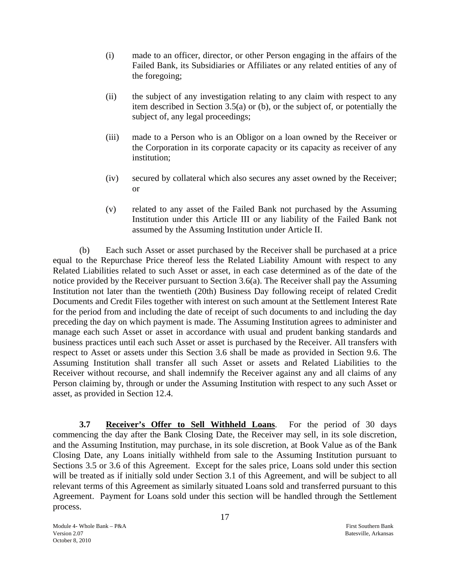- (i) made to an officer, director, or other Person engaging in the affairs of the Failed Bank, its Subsidiaries or Affiliates or any related entities of any of the foregoing;
- (ii) the subject of any investigation relating to any claim with respect to any item described in Section 3.5(a) or (b), or the subject of, or potentially the subject of, any legal proceedings;
- (iii) made to a Person who is an Obligor on a loan owned by the Receiver or the Corporation in its corporate capacity or its capacity as receiver of any institution;
- (iv) secured by collateral which also secures any asset owned by the Receiver; or
- (v) related to any asset of the Failed Bank not purchased by the Assuming Institution under this Article III or any liability of the Failed Bank not assumed by the Assuming Institution under Article II.

(b) Each such Asset or asset purchased by the Receiver shall be purchased at a price equal to the Repurchase Price thereof less the Related Liability Amount with respect to any Related Liabilities related to such Asset or asset, in each case determined as of the date of the notice provided by the Receiver pursuant to Section 3.6(a). The Receiver shall pay the Assuming Institution not later than the twentieth (20th) Business Day following receipt of related Credit Documents and Credit Files together with interest on such amount at the Settlement Interest Rate for the period from and including the date of receipt of such documents to and including the day preceding the day on which payment is made. The Assuming Institution agrees to administer and manage each such Asset or asset in accordance with usual and prudent banking standards and business practices until each such Asset or asset is purchased by the Receiver. All transfers with respect to Asset or assets under this Section 3.6 shall be made as provided in Section 9.6. The Assuming Institution shall transfer all such Asset or assets and Related Liabilities to the Receiver without recourse, and shall indemnify the Receiver against any and all claims of any Person claiming by, through or under the Assuming Institution with respect to any such Asset or asset, as provided in Section 12.4.

**3.7 Receiver's Offer to Sell Withheld Loans**. For the period of 30 days commencing the day after the Bank Closing Date, the Receiver may sell, in its sole discretion, and the Assuming Institution, may purchase, in its sole discretion, at Book Value as of the Bank Closing Date, any Loans initially withheld from sale to the Assuming Institution pursuant to Sections 3.5 or 3.6 of this Agreement. Except for the sales price, Loans sold under this section will be treated as if initially sold under Section 3.1 of this Agreement, and will be subject to all relevant terms of this Agreement as similarly situated Loans sold and transferred pursuant to this Agreement. Payment for Loans sold under this section will be handled through the Settlement process.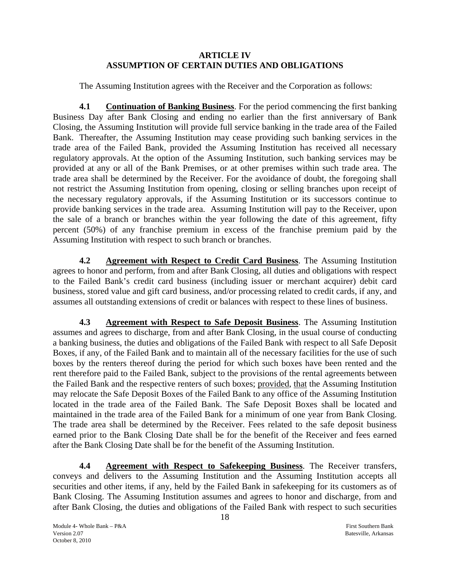## **ARTICLE IV ASSUMPTION OF CERTAIN DUTIES AND OBLIGATIONS**

The Assuming Institution agrees with the Receiver and the Corporation as follows:

**4.1** Continuation of Banking Business. For the period commencing the first banking Business Day after Bank Closing and ending no earlier than the first anniversary of Bank Closing, the Assuming Institution will provide full service banking in the trade area of the Failed Bank. Thereafter, the Assuming Institution may cease providing such banking services in the trade area of the Failed Bank, provided the Assuming Institution has received all necessary regulatory approvals. At the option of the Assuming Institution, such banking services may be provided at any or all of the Bank Premises, or at other premises within such trade area. The trade area shall be determined by the Receiver. For the avoidance of doubt, the foregoing shall not restrict the Assuming Institution from opening, closing or selling branches upon receipt of the necessary regulatory approvals, if the Assuming Institution or its successors continue to provide banking services in the trade area. Assuming Institution will pay to the Receiver, upon the sale of a branch or branches within the year following the date of this agreement, fifty percent (50%) of any franchise premium in excess of the franchise premium paid by the Assuming Institution with respect to such branch or branches.

**4.2 Agreement with Respect to Credit Card Business**. The Assuming Institution agrees to honor and perform, from and after Bank Closing, all duties and obligations with respect to the Failed Bank's credit card business (including issuer or merchant acquirer) debit card business, stored value and gift card business, and/or processing related to credit cards, if any, and assumes all outstanding extensions of credit or balances with respect to these lines of business.

**4.3 Agreement with Respect to Safe Deposit Business**. The Assuming Institution assumes and agrees to discharge, from and after Bank Closing, in the usual course of conducting a banking business, the duties and obligations of the Failed Bank with respect to all Safe Deposit Boxes, if any, of the Failed Bank and to maintain all of the necessary facilities for the use of such boxes by the renters thereof during the period for which such boxes have been rented and the rent therefore paid to the Failed Bank, subject to the provisions of the rental agreements between the Failed Bank and the respective renters of such boxes; provided, that the Assuming Institution may relocate the Safe Deposit Boxes of the Failed Bank to any office of the Assuming Institution located in the trade area of the Failed Bank. The Safe Deposit Boxes shall be located and maintained in the trade area of the Failed Bank for a minimum of one year from Bank Closing. The trade area shall be determined by the Receiver. Fees related to the safe deposit business earned prior to the Bank Closing Date shall be for the benefit of the Receiver and fees earned after the Bank Closing Date shall be for the benefit of the Assuming Institution.

**4.4 Agreement with Respect to Safekeeping Business**. The Receiver transfers, conveys and delivers to the Assuming Institution and the Assuming Institution accepts all securities and other items, if any, held by the Failed Bank in safekeeping for its customers as of Bank Closing. The Assuming Institution assumes and agrees to honor and discharge, from and after Bank Closing, the duties and obligations of the Failed Bank with respect to such securities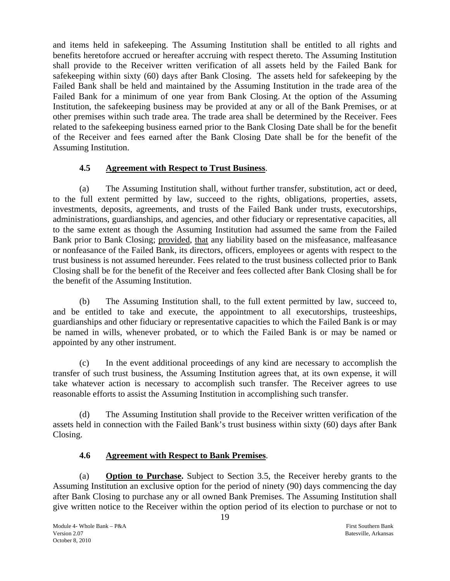and items held in safekeeping. The Assuming Institution shall be entitled to all rights and benefits heretofore accrued or hereafter accruing with respect thereto. The Assuming Institution shall provide to the Receiver written verification of all assets held by the Failed Bank for safekeeping within sixty (60) days after Bank Closing. The assets held for safekeeping by the Failed Bank shall be held and maintained by the Assuming Institution in the trade area of the Failed Bank for a minimum of one year from Bank Closing. At the option of the Assuming Institution, the safekeeping business may be provided at any or all of the Bank Premises, or at other premises within such trade area. The trade area shall be determined by the Receiver. Fees related to the safekeeping business earned prior to the Bank Closing Date shall be for the benefit of the Receiver and fees earned after the Bank Closing Date shall be for the benefit of the Assuming Institution.

# **4.5 Agreement with Respect to Trust Business**.

(a) The Assuming Institution shall, without further transfer, substitution, act or deed, to the full extent permitted by law, succeed to the rights, obligations, properties, assets, investments, deposits, agreements, and trusts of the Failed Bank under trusts, executorships, administrations, guardianships, and agencies, and other fiduciary or representative capacities, all to the same extent as though the Assuming Institution had assumed the same from the Failed Bank prior to Bank Closing; provided, that any liability based on the misfeasance, malfeasance or nonfeasance of the Failed Bank, its directors, officers, employees or agents with respect to the trust business is not assumed hereunder. Fees related to the trust business collected prior to Bank Closing shall be for the benefit of the Receiver and fees collected after Bank Closing shall be for the benefit of the Assuming Institution.

(b) The Assuming Institution shall, to the full extent permitted by law, succeed to, and be entitled to take and execute, the appointment to all executorships, trusteeships, guardianships and other fiduciary or representative capacities to which the Failed Bank is or may be named in wills, whenever probated, or to which the Failed Bank is or may be named or appointed by any other instrument.

(c) In the event additional proceedings of any kind are necessary to accomplish the transfer of such trust business, the Assuming Institution agrees that, at its own expense, it will take whatever action is necessary to accomplish such transfer. The Receiver agrees to use reasonable efforts to assist the Assuming Institution in accomplishing such transfer.

(d) The Assuming Institution shall provide to the Receiver written verification of the assets held in connection with the Failed Bank's trust business within sixty (60) days after Bank Closing.

# **4.6 Agreement with Respect to Bank Premises**.

(a) **Option to Purchase.** Subject to Section 3.5, the Receiver hereby grants to the Assuming Institution an exclusive option for the period of ninety (90) days commencing the day after Bank Closing to purchase any or all owned Bank Premises. The Assuming Institution shall give written notice to the Receiver within the option period of its election to purchase or not to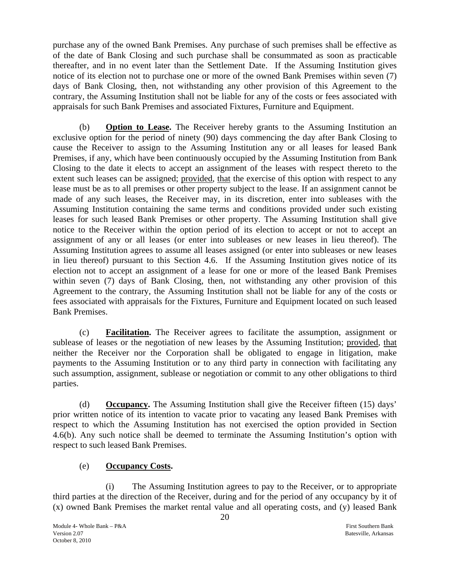purchase any of the owned Bank Premises. Any purchase of such premises shall be effective as of the date of Bank Closing and such purchase shall be consummated as soon as practicable thereafter, and in no event later than the Settlement Date. If the Assuming Institution gives notice of its election not to purchase one or more of the owned Bank Premises within seven (7) days of Bank Closing, then, not withstanding any other provision of this Agreement to the contrary, the Assuming Institution shall not be liable for any of the costs or fees associated with appraisals for such Bank Premises and associated Fixtures, Furniture and Equipment.

(b) **Option to Lease.** The Receiver hereby grants to the Assuming Institution an exclusive option for the period of ninety (90) days commencing the day after Bank Closing to cause the Receiver to assign to the Assuming Institution any or all leases for leased Bank Premises, if any, which have been continuously occupied by the Assuming Institution from Bank Closing to the date it elects to accept an assignment of the leases with respect thereto to the extent such leases can be assigned; provided, that the exercise of this option with respect to any lease must be as to all premises or other property subject to the lease. If an assignment cannot be made of any such leases, the Receiver may, in its discretion, enter into subleases with the Assuming Institution containing the same terms and conditions provided under such existing leases for such leased Bank Premises or other property. The Assuming Institution shall give notice to the Receiver within the option period of its election to accept or not to accept an assignment of any or all leases (or enter into subleases or new leases in lieu thereof). The Assuming Institution agrees to assume all leases assigned (or enter into subleases or new leases in lieu thereof) pursuant to this Section 4.6. If the Assuming Institution gives notice of its election not to accept an assignment of a lease for one or more of the leased Bank Premises within seven (7) days of Bank Closing, then, not withstanding any other provision of this Agreement to the contrary, the Assuming Institution shall not be liable for any of the costs or fees associated with appraisals for the Fixtures, Furniture and Equipment located on such leased Bank Premises.

(c) **Facilitation.** The Receiver agrees to facilitate the assumption, assignment or sublease of leases or the negotiation of new leases by the Assuming Institution; provided, that neither the Receiver nor the Corporation shall be obligated to engage in litigation, make payments to the Assuming Institution or to any third party in connection with facilitating any such assumption, assignment, sublease or negotiation or commit to any other obligations to third parties.

(d) **Occupancy.** The Assuming Institution shall give the Receiver fifteen (15) days' prior written notice of its intention to vacate prior to vacating any leased Bank Premises with respect to which the Assuming Institution has not exercised the option provided in Section 4.6(b). Any such notice shall be deemed to terminate the Assuming Institution's option with respect to such leased Bank Premises.

# (e) **Occupancy Costs.**

(i) The Assuming Institution agrees to pay to the Receiver, or to appropriate third parties at the direction of the Receiver, during and for the period of any occupancy by it of (x) owned Bank Premises the market rental value and all operating costs, and (y) leased Bank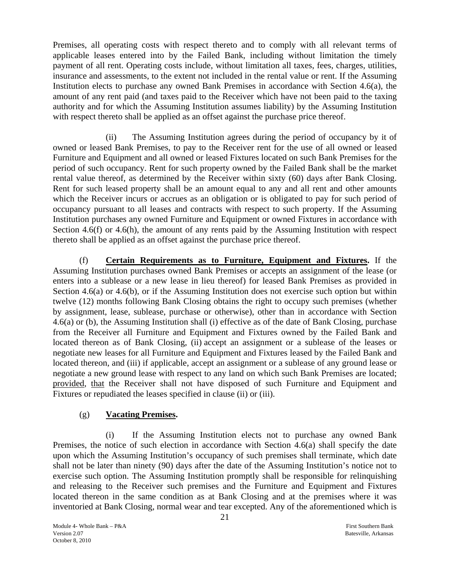Premises, all operating costs with respect thereto and to comply with all relevant terms of applicable leases entered into by the Failed Bank, including without limitation the timely payment of all rent. Operating costs include, without limitation all taxes, fees, charges, utilities, insurance and assessments, to the extent not included in the rental value or rent. If the Assuming Institution elects to purchase any owned Bank Premises in accordance with Section 4.6(a), the amount of any rent paid (and taxes paid to the Receiver which have not been paid to the taxing authority and for which the Assuming Institution assumes liability) by the Assuming Institution with respect thereto shall be applied as an offset against the purchase price thereof.

(ii) The Assuming Institution agrees during the period of occupancy by it of owned or leased Bank Premises, to pay to the Receiver rent for the use of all owned or leased Furniture and Equipment and all owned or leased Fixtures located on such Bank Premises for the period of such occupancy. Rent for such property owned by the Failed Bank shall be the market rental value thereof, as determined by the Receiver within sixty (60) days after Bank Closing. Rent for such leased property shall be an amount equal to any and all rent and other amounts which the Receiver incurs or accrues as an obligation or is obligated to pay for such period of occupancy pursuant to all leases and contracts with respect to such property. If the Assuming Institution purchases any owned Furniture and Equipment or owned Fixtures in accordance with Section 4.6(f) or 4.6(h), the amount of any rents paid by the Assuming Institution with respect thereto shall be applied as an offset against the purchase price thereof.

(f) **Certain Requirements as to Furniture, Equipment and Fixtures.** If the Assuming Institution purchases owned Bank Premises or accepts an assignment of the lease (or enters into a sublease or a new lease in lieu thereof) for leased Bank Premises as provided in Section 4.6(a) or 4.6(b), or if the Assuming Institution does not exercise such option but within twelve (12) months following Bank Closing obtains the right to occupy such premises (whether by assignment, lease, sublease, purchase or otherwise), other than in accordance with Section 4.6(a) or (b), the Assuming Institution shall (i) effective as of the date of Bank Closing, purchase from the Receiver all Furniture and Equipment and Fixtures owned by the Failed Bank and located thereon as of Bank Closing, (ii) accept an assignment or a sublease of the leases or negotiate new leases for all Furniture and Equipment and Fixtures leased by the Failed Bank and located thereon, and (iii) if applicable, accept an assignment or a sublease of any ground lease or negotiate a new ground lease with respect to any land on which such Bank Premises are located; provided, that the Receiver shall not have disposed of such Furniture and Equipment and Fixtures or repudiated the leases specified in clause (ii) or (iii).

# (g) **Vacating Premises.**

(i) If the Assuming Institution elects not to purchase any owned Bank Premises, the notice of such election in accordance with Section 4.6(a) shall specify the date upon which the Assuming Institution's occupancy of such premises shall terminate, which date shall not be later than ninety (90) days after the date of the Assuming Institution's notice not to exercise such option. The Assuming Institution promptly shall be responsible for relinquishing and releasing to the Receiver such premises and the Furniture and Equipment and Fixtures located thereon in the same condition as at Bank Closing and at the premises where it was inventoried at Bank Closing, normal wear and tear excepted. Any of the aforementioned which is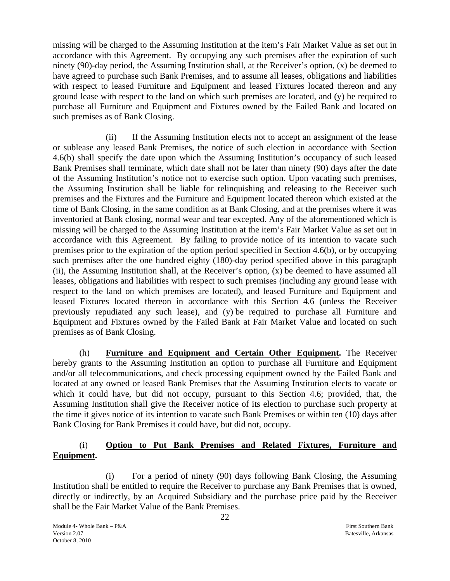missing will be charged to the Assuming Institution at the item's Fair Market Value as set out in accordance with this Agreement. By occupying any such premises after the expiration of such ninety (90)-day period, the Assuming Institution shall, at the Receiver's option, (x) be deemed to have agreed to purchase such Bank Premises, and to assume all leases, obligations and liabilities with respect to leased Furniture and Equipment and leased Fixtures located thereon and any ground lease with respect to the land on which such premises are located, and (y) be required to purchase all Furniture and Equipment and Fixtures owned by the Failed Bank and located on such premises as of Bank Closing.

(ii) If the Assuming Institution elects not to accept an assignment of the lease or sublease any leased Bank Premises, the notice of such election in accordance with Section 4.6(b) shall specify the date upon which the Assuming Institution's occupancy of such leased Bank Premises shall terminate, which date shall not be later than ninety (90) days after the date of the Assuming Institution's notice not to exercise such option. Upon vacating such premises, the Assuming Institution shall be liable for relinquishing and releasing to the Receiver such premises and the Fixtures and the Furniture and Equipment located thereon which existed at the time of Bank Closing, in the same condition as at Bank Closing, and at the premises where it was inventoried at Bank closing, normal wear and tear excepted. Any of the aforementioned which is missing will be charged to the Assuming Institution at the item's Fair Market Value as set out in accordance with this Agreement. By failing to provide notice of its intention to vacate such premises prior to the expiration of the option period specified in Section 4.6(b), or by occupying such premises after the one hundred eighty (180)-day period specified above in this paragraph (ii), the Assuming Institution shall, at the Receiver's option, (x) be deemed to have assumed all leases, obligations and liabilities with respect to such premises (including any ground lease with respect to the land on which premises are located), and leased Furniture and Equipment and leased Fixtures located thereon in accordance with this Section 4.6 (unless the Receiver previously repudiated any such lease), and (y) be required to purchase all Furniture and Equipment and Fixtures owned by the Failed Bank at Fair Market Value and located on such premises as of Bank Closing.

(h) **Furniture and Equipment and Certain Other Equipment.** The Receiver hereby grants to the Assuming Institution an option to purchase all Furniture and Equipment and/or all telecommunications, and check processing equipment owned by the Failed Bank and located at any owned or leased Bank Premises that the Assuming Institution elects to vacate or which it could have, but did not occupy, pursuant to this Section 4.6; provided, that, the Assuming Institution shall give the Receiver notice of its election to purchase such property at the time it gives notice of its intention to vacate such Bank Premises or within ten (10) days after Bank Closing for Bank Premises it could have, but did not, occupy.

## (i) **Option to Put Bank Premises and Related Fixtures, Furniture and Equipment.**

(i) For a period of ninety (90) days following Bank Closing, the Assuming Institution shall be entitled to require the Receiver to purchase any Bank Premises that is owned, directly or indirectly, by an Acquired Subsidiary and the purchase price paid by the Receiver shall be the Fair Market Value of the Bank Premises.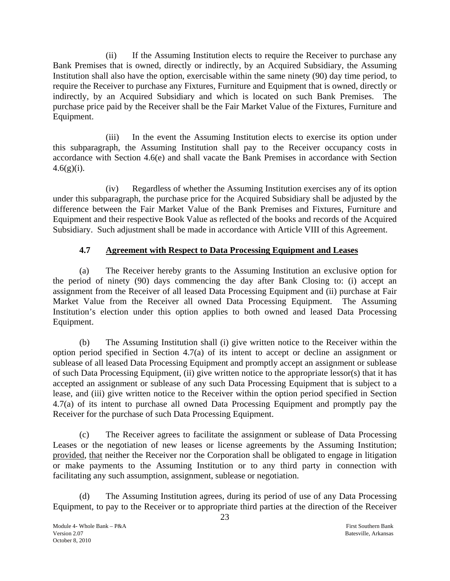(ii) If the Assuming Institution elects to require the Receiver to purchase any Bank Premises that is owned, directly or indirectly, by an Acquired Subsidiary, the Assuming Institution shall also have the option, exercisable within the same ninety (90) day time period, to require the Receiver to purchase any Fixtures, Furniture and Equipment that is owned, directly or indirectly, by an Acquired Subsidiary and which is located on such Bank Premises. The purchase price paid by the Receiver shall be the Fair Market Value of the Fixtures, Furniture and Equipment.

(iii) In the event the Assuming Institution elects to exercise its option under this subparagraph, the Assuming Institution shall pay to the Receiver occupancy costs in accordance with Section 4.6(e) and shall vacate the Bank Premises in accordance with Section  $4.6(g)(i)$ .

(iv) Regardless of whether the Assuming Institution exercises any of its option under this subparagraph, the purchase price for the Acquired Subsidiary shall be adjusted by the difference between the Fair Market Value of the Bank Premises and Fixtures, Furniture and Equipment and their respective Book Value as reflected of the books and records of the Acquired Subsidiary. Such adjustment shall be made in accordance with Article VIII of this Agreement.

# **4.7 Agreement with Respect to Data Processing Equipment and Leases**

(a) The Receiver hereby grants to the Assuming Institution an exclusive option for the period of ninety (90) days commencing the day after Bank Closing to: (i) accept an assignment from the Receiver of all leased Data Processing Equipment and (ii) purchase at Fair Market Value from the Receiver all owned Data Processing Equipment. The Assuming Institution's election under this option applies to both owned and leased Data Processing Equipment.

(b) The Assuming Institution shall (i) give written notice to the Receiver within the option period specified in Section 4.7(a) of its intent to accept or decline an assignment or sublease of all leased Data Processing Equipment and promptly accept an assignment or sublease of such Data Processing Equipment, (ii) give written notice to the appropriate lessor(s) that it has accepted an assignment or sublease of any such Data Processing Equipment that is subject to a lease, and (iii) give written notice to the Receiver within the option period specified in Section 4.7(a) of its intent to purchase all owned Data Processing Equipment and promptly pay the Receiver for the purchase of such Data Processing Equipment.

(c) The Receiver agrees to facilitate the assignment or sublease of Data Processing Leases or the negotiation of new leases or license agreements by the Assuming Institution; provided, that neither the Receiver nor the Corporation shall be obligated to engage in litigation or make payments to the Assuming Institution or to any third party in connection with facilitating any such assumption, assignment, sublease or negotiation.

(d) The Assuming Institution agrees, during its period of use of any Data Processing Equipment, to pay to the Receiver or to appropriate third parties at the direction of the Receiver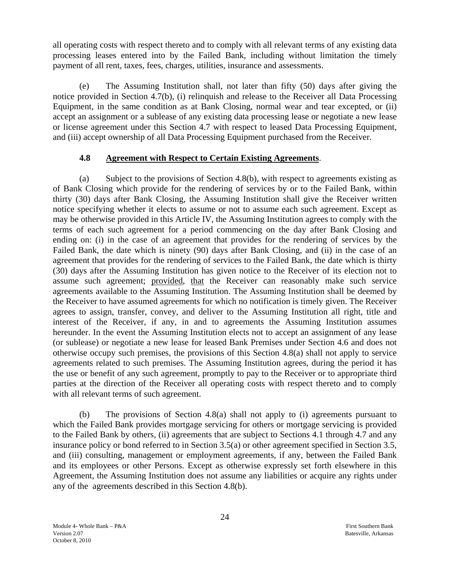all operating costs with respect thereto and to comply with all relevant terms of any existing data processing leases entered into by the Failed Bank, including without limitation the timely payment of all rent, taxes, fees, charges, utilities, insurance and assessments.

(e) The Assuming Institution shall, not later than fifty (50) days after giving the notice provided in Section 4.7(b), (i) relinquish and release to the Receiver all Data Processing Equipment, in the same condition as at Bank Closing, normal wear and tear excepted, or (ii) accept an assignment or a sublease of any existing data processing lease or negotiate a new lease or license agreement under this Section 4.7 with respect to leased Data Processing Equipment, and (iii) accept ownership of all Data Processing Equipment purchased from the Receiver.

## **4.8 Agreement with Respect to Certain Existing Agreements**.

(a) Subject to the provisions of Section 4.8(b), with respect to agreements existing as of Bank Closing which provide for the rendering of services by or to the Failed Bank, within thirty (30) days after Bank Closing, the Assuming Institution shall give the Receiver written notice specifying whether it elects to assume or not to assume each such agreement. Except as may be otherwise provided in this Article IV, the Assuming Institution agrees to comply with the terms of each such agreement for a period commencing on the day after Bank Closing and ending on: (i) in the case of an agreement that provides for the rendering of services by the Failed Bank, the date which is ninety (90) days after Bank Closing, and (ii) in the case of an agreement that provides for the rendering of services to the Failed Bank, the date which is thirty (30) days after the Assuming Institution has given notice to the Receiver of its election not to assume such agreement; provided, that the Receiver can reasonably make such service agreements available to the Assuming Institution. The Assuming Institution shall be deemed by the Receiver to have assumed agreements for which no notification is timely given. The Receiver agrees to assign, transfer, convey, and deliver to the Assuming Institution all right, title and interest of the Receiver, if any, in and to agreements the Assuming Institution assumes hereunder. In the event the Assuming Institution elects not to accept an assignment of any lease (or sublease) or negotiate a new lease for leased Bank Premises under Section 4.6 and does not otherwise occupy such premises, the provisions of this Section 4.8(a) shall not apply to service agreements related to such premises. The Assuming Institution agrees, during the period it has the use or benefit of any such agreement, promptly to pay to the Receiver or to appropriate third parties at the direction of the Receiver all operating costs with respect thereto and to comply with all relevant terms of such agreement.

(b) The provisions of Section 4.8(a) shall not apply to (i) agreements pursuant to which the Failed Bank provides mortgage servicing for others or mortgage servicing is provided to the Failed Bank by others, (ii) agreements that are subject to Sections 4.1 through 4.7 and any insurance policy or bond referred to in Section 3.5(a) or other agreement specified in Section 3.5, and (iii) consulting, management or employment agreements, if any, between the Failed Bank and its employees or other Persons. Except as otherwise expressly set forth elsewhere in this Agreement, the Assuming Institution does not assume any liabilities or acquire any rights under any of the agreements described in this Section 4.8(b).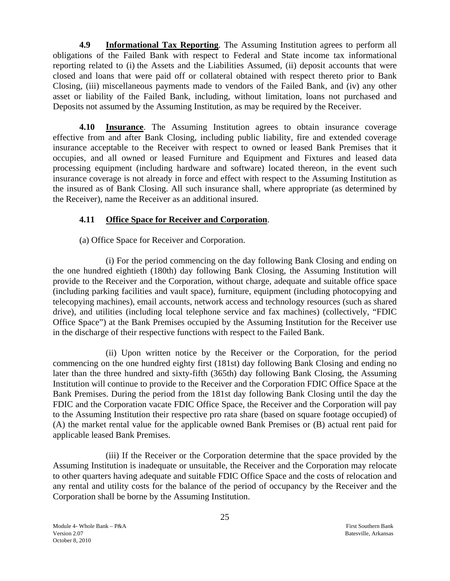**4.9 Informational Tax Reporting**. The Assuming Institution agrees to perform all obligations of the Failed Bank with respect to Federal and State income tax informational reporting related to (i) the Assets and the Liabilities Assumed, (ii) deposit accounts that were closed and loans that were paid off or collateral obtained with respect thereto prior to Bank Closing, (iii) miscellaneous payments made to vendors of the Failed Bank, and (iv) any other asset or liability of the Failed Bank, including, without limitation, loans not purchased and Deposits not assumed by the Assuming Institution, as may be required by the Receiver.

**4.10 Insurance**. The Assuming Institution agrees to obtain insurance coverage effective from and after Bank Closing, including public liability, fire and extended coverage insurance acceptable to the Receiver with respect to owned or leased Bank Premises that it occupies, and all owned or leased Furniture and Equipment and Fixtures and leased data processing equipment (including hardware and software) located thereon, in the event such insurance coverage is not already in force and effect with respect to the Assuming Institution as the insured as of Bank Closing. All such insurance shall, where appropriate (as determined by the Receiver), name the Receiver as an additional insured.

## **4.11 Office Space for Receiver and Corporation**.

(a) Office Space for Receiver and Corporation.

(i) For the period commencing on the day following Bank Closing and ending on the one hundred eightieth (180th) day following Bank Closing, the Assuming Institution will provide to the Receiver and the Corporation, without charge, adequate and suitable office space (including parking facilities and vault space), furniture, equipment (including photocopying and telecopying machines), email accounts, network access and technology resources (such as shared drive), and utilities (including local telephone service and fax machines) (collectively, "FDIC Office Space") at the Bank Premises occupied by the Assuming Institution for the Receiver use in the discharge of their respective functions with respect to the Failed Bank.

(ii) Upon written notice by the Receiver or the Corporation, for the period commencing on the one hundred eighty first (181st) day following Bank Closing and ending no later than the three hundred and sixty-fifth (365th) day following Bank Closing, the Assuming Institution will continue to provide to the Receiver and the Corporation FDIC Office Space at the Bank Premises. During the period from the 181st day following Bank Closing until the day the FDIC and the Corporation vacate FDIC Office Space, the Receiver and the Corporation will pay to the Assuming Institution their respective pro rata share (based on square footage occupied) of (A) the market rental value for the applicable owned Bank Premises or (B) actual rent paid for applicable leased Bank Premises.

(iii) If the Receiver or the Corporation determine that the space provided by the Assuming Institution is inadequate or unsuitable, the Receiver and the Corporation may relocate to other quarters having adequate and suitable FDIC Office Space and the costs of relocation and any rental and utility costs for the balance of the period of occupancy by the Receiver and the Corporation shall be borne by the Assuming Institution.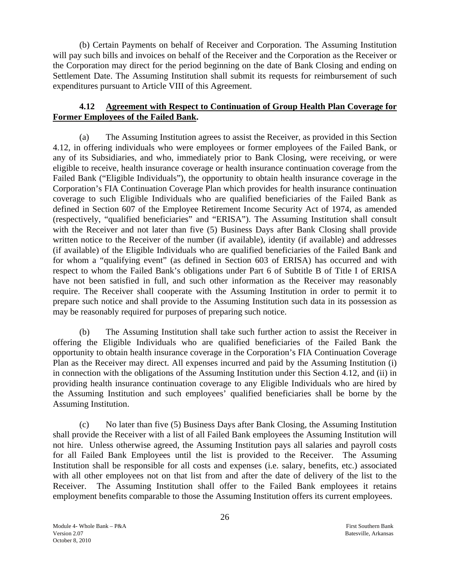(b) Certain Payments on behalf of Receiver and Corporation. The Assuming Institution will pay such bills and invoices on behalf of the Receiver and the Corporation as the Receiver or the Corporation may direct for the period beginning on the date of Bank Closing and ending on Settlement Date. The Assuming Institution shall submit its requests for reimbursement of such expenditures pursuant to Article VIII of this Agreement.

## **4.12 Agreement with Respect to Continuation of Group Health Plan Coverage for Former Employees of the Failed Bank.**

(a) The Assuming Institution agrees to assist the Receiver, as provided in this Section 4.12, in offering individuals who were employees or former employees of the Failed Bank, or any of its Subsidiaries, and who, immediately prior to Bank Closing, were receiving, or were eligible to receive, health insurance coverage or health insurance continuation coverage from the Failed Bank ("Eligible Individuals"), the opportunity to obtain health insurance coverage in the Corporation's FIA Continuation Coverage Plan which provides for health insurance continuation coverage to such Eligible Individuals who are qualified beneficiaries of the Failed Bank as defined in Section 607 of the Employee Retirement Income Security Act of 1974, as amended (respectively, "qualified beneficiaries" and "ERISA"). The Assuming Institution shall consult with the Receiver and not later than five (5) Business Days after Bank Closing shall provide written notice to the Receiver of the number (if available), identity (if available) and addresses (if available) of the Eligible Individuals who are qualified beneficiaries of the Failed Bank and for whom a "qualifying event" (as defined in Section 603 of ERISA) has occurred and with respect to whom the Failed Bank's obligations under Part 6 of Subtitle B of Title I of ERISA have not been satisfied in full, and such other information as the Receiver may reasonably require. The Receiver shall cooperate with the Assuming Institution in order to permit it to prepare such notice and shall provide to the Assuming Institution such data in its possession as may be reasonably required for purposes of preparing such notice.

(b) The Assuming Institution shall take such further action to assist the Receiver in offering the Eligible Individuals who are qualified beneficiaries of the Failed Bank the opportunity to obtain health insurance coverage in the Corporation's FIA Continuation Coverage Plan as the Receiver may direct. All expenses incurred and paid by the Assuming Institution (i) in connection with the obligations of the Assuming Institution under this Section 4.12, and (ii) in providing health insurance continuation coverage to any Eligible Individuals who are hired by the Assuming Institution and such employees' qualified beneficiaries shall be borne by the Assuming Institution.

(c) No later than five (5) Business Days after Bank Closing, the Assuming Institution shall provide the Receiver with a list of all Failed Bank employees the Assuming Institution will not hire. Unless otherwise agreed, the Assuming Institution pays all salaries and payroll costs for all Failed Bank Employees until the list is provided to the Receiver. The Assuming Institution shall be responsible for all costs and expenses (i.e. salary, benefits, etc.) associated with all other employees not on that list from and after the date of delivery of the list to the Receiver. The Assuming Institution shall offer to the Failed Bank employees it retains employment benefits comparable to those the Assuming Institution offers its current employees.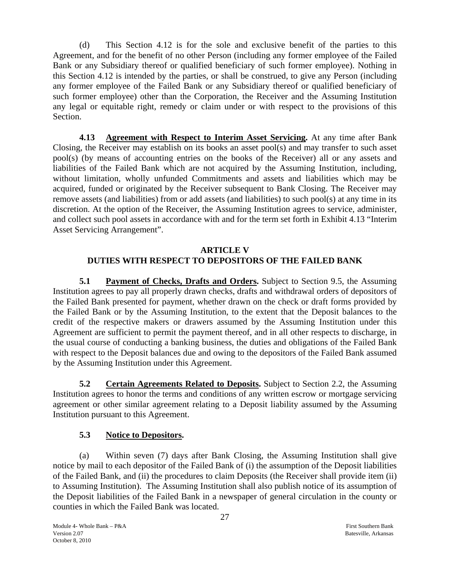(d) This Section 4.12 is for the sole and exclusive benefit of the parties to this Agreement, and for the benefit of no other Person (including any former employee of the Failed Bank or any Subsidiary thereof or qualified beneficiary of such former employee). Nothing in this Section 4.12 is intended by the parties, or shall be construed, to give any Person (including any former employee of the Failed Bank or any Subsidiary thereof or qualified beneficiary of such former employee) other than the Corporation, the Receiver and the Assuming Institution any legal or equitable right, remedy or claim under or with respect to the provisions of this Section.

**4.13 Agreement with Respect to Interim Asset Servicing.** At any time after Bank Closing, the Receiver may establish on its books an asset pool(s) and may transfer to such asset pool(s) (by means of accounting entries on the books of the Receiver) all or any assets and liabilities of the Failed Bank which are not acquired by the Assuming Institution, including, without limitation, wholly unfunded Commitments and assets and liabilities which may be acquired, funded or originated by the Receiver subsequent to Bank Closing. The Receiver may remove assets (and liabilities) from or add assets (and liabilities) to such pool(s) at any time in its discretion. At the option of the Receiver, the Assuming Institution agrees to service, administer, and collect such pool assets in accordance with and for the term set forth in Exhibit 4.13 "Interim Asset Servicing Arrangement".

# **ARTICLE V DUTIES WITH RESPECT TO DEPOSITORS OF THE FAILED BANK**

**5.1 Payment of Checks, Drafts and Orders.** Subject to Section 9.5, the Assuming Institution agrees to pay all properly drawn checks, drafts and withdrawal orders of depositors of the Failed Bank presented for payment, whether drawn on the check or draft forms provided by the Failed Bank or by the Assuming Institution, to the extent that the Deposit balances to the credit of the respective makers or drawers assumed by the Assuming Institution under this Agreement are sufficient to permit the payment thereof, and in all other respects to discharge, in the usual course of conducting a banking business, the duties and obligations of the Failed Bank with respect to the Deposit balances due and owing to the depositors of the Failed Bank assumed by the Assuming Institution under this Agreement.

**5.2 Certain Agreements Related to Deposits.** Subject to Section 2.2, the Assuming Institution agrees to honor the terms and conditions of any written escrow or mortgage servicing agreement or other similar agreement relating to a Deposit liability assumed by the Assuming Institution pursuant to this Agreement.

# **5.3 Notice to Depositors.**

(a) Within seven (7) days after Bank Closing, the Assuming Institution shall give notice by mail to each depositor of the Failed Bank of (i) the assumption of the Deposit liabilities of the Failed Bank, and (ii) the procedures to claim Deposits (the Receiver shall provide item (ii) to Assuming Institution). The Assuming Institution shall also publish notice of its assumption of the Deposit liabilities of the Failed Bank in a newspaper of general circulation in the county or counties in which the Failed Bank was located.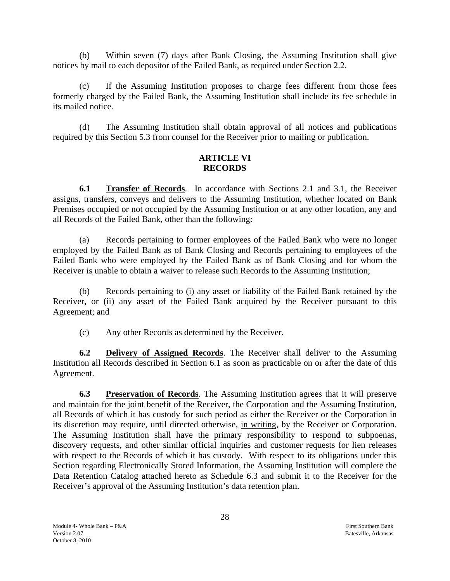(b) Within seven (7) days after Bank Closing, the Assuming Institution shall give notices by mail to each depositor of the Failed Bank, as required under Section 2.2.

(c) If the Assuming Institution proposes to charge fees different from those fees formerly charged by the Failed Bank, the Assuming Institution shall include its fee schedule in its mailed notice.

(d) The Assuming Institution shall obtain approval of all notices and publications required by this Section 5.3 from counsel for the Receiver prior to mailing or publication.

## **ARTICLE VI RECORDS**

**6.1 Transfer of Records.** In accordance with Sections 2.1 and 3.1, the Receiver assigns, transfers, conveys and delivers to the Assuming Institution, whether located on Bank Premises occupied or not occupied by the Assuming Institution or at any other location, any and all Records of the Failed Bank, other than the following:

(a) Records pertaining to former employees of the Failed Bank who were no longer employed by the Failed Bank as of Bank Closing and Records pertaining to employees of the Failed Bank who were employed by the Failed Bank as of Bank Closing and for whom the Receiver is unable to obtain a waiver to release such Records to the Assuming Institution;

(b) Records pertaining to (i) any asset or liability of the Failed Bank retained by the Receiver, or (ii) any asset of the Failed Bank acquired by the Receiver pursuant to this Agreement; and

(c) Any other Records as determined by the Receiver.

**6.2** Delivery of Assigned Records. The Receiver shall deliver to the Assuming Institution all Records described in Section 6.1 as soon as practicable on or after the date of this Agreement.

**6.3 Preservation of Records**. The Assuming Institution agrees that it will preserve and maintain for the joint benefit of the Receiver, the Corporation and the Assuming Institution, all Records of which it has custody for such period as either the Receiver or the Corporation in its discretion may require, until directed otherwise, in writing, by the Receiver or Corporation. The Assuming Institution shall have the primary responsibility to respond to subpoenas, discovery requests, and other similar official inquiries and customer requests for lien releases with respect to the Records of which it has custody. With respect to its obligations under this Section regarding Electronically Stored Information, the Assuming Institution will complete the Data Retention Catalog attached hereto as Schedule 6.3 and submit it to the Receiver for the Receiver's approval of the Assuming Institution's data retention plan.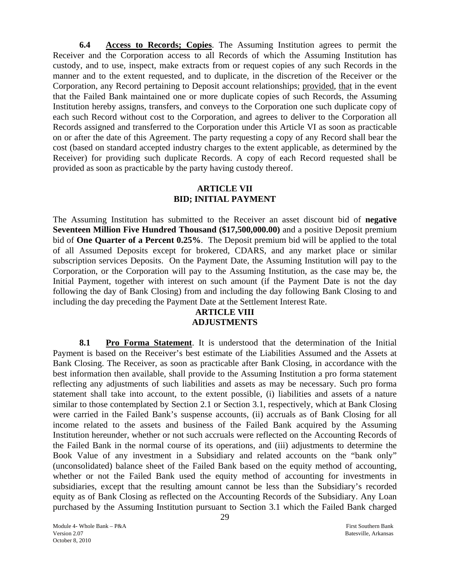**6.4 Access to Records; Copies**. The Assuming Institution agrees to permit the Receiver and the Corporation access to all Records of which the Assuming Institution has custody, and to use, inspect, make extracts from or request copies of any such Records in the manner and to the extent requested, and to duplicate, in the discretion of the Receiver or the Corporation, any Record pertaining to Deposit account relationships; provided, that in the event that the Failed Bank maintained one or more duplicate copies of such Records, the Assuming Institution hereby assigns, transfers, and conveys to the Corporation one such duplicate copy of each such Record without cost to the Corporation, and agrees to deliver to the Corporation all Records assigned and transferred to the Corporation under this Article VI as soon as practicable on or after the date of this Agreement. The party requesting a copy of any Record shall bear the cost (based on standard accepted industry charges to the extent applicable, as determined by the Receiver) for providing such duplicate Records. A copy of each Record requested shall be provided as soon as practicable by the party having custody thereof.

## **ARTICLE VII BID; INITIAL PAYMENT**

 including the day preceding the Payment Date at the Settlement Interest Rate. The Assuming Institution has submitted to the Receiver an asset discount bid of **negative Seventeen Million Five Hundred Thousand (\$17,500,000.00)** and a positive Deposit premium bid of **One Quarter of a Percent 0.25%**. The Deposit premium bid will be applied to the total of all Assumed Deposits except for brokered, CDARS, and any market place or similar subscription services Deposits. On the Payment Date, the Assuming Institution will pay to the Corporation, or the Corporation will pay to the Assuming Institution, as the case may be, the Initial Payment, together with interest on such amount (if the Payment Date is not the day following the day of Bank Closing) from and including the day following Bank Closing to and

## **ARTICLE VIII ADJUSTMENTS**

**8.1 Pro Forma Statement**. It is understood that the determination of the Initial Payment is based on the Receiver's best estimate of the Liabilities Assumed and the Assets at Bank Closing. The Receiver, as soon as practicable after Bank Closing, in accordance with the best information then available, shall provide to the Assuming Institution a pro forma statement reflecting any adjustments of such liabilities and assets as may be necessary. Such pro forma statement shall take into account, to the extent possible, (i) liabilities and assets of a nature similar to those contemplated by Section 2.1 or Section 3.1, respectively, which at Bank Closing were carried in the Failed Bank's suspense accounts, (ii) accruals as of Bank Closing for all income related to the assets and business of the Failed Bank acquired by the Assuming Institution hereunder, whether or not such accruals were reflected on the Accounting Records of the Failed Bank in the normal course of its operations, and (iii) adjustments to determine the Book Value of any investment in a Subsidiary and related accounts on the "bank only" (unconsolidated) balance sheet of the Failed Bank based on the equity method of accounting, whether or not the Failed Bank used the equity method of accounting for investments in subsidiaries, except that the resulting amount cannot be less than the Subsidiary's recorded equity as of Bank Closing as reflected on the Accounting Records of the Subsidiary. Any Loan purchased by the Assuming Institution pursuant to Section 3.1 which the Failed Bank charged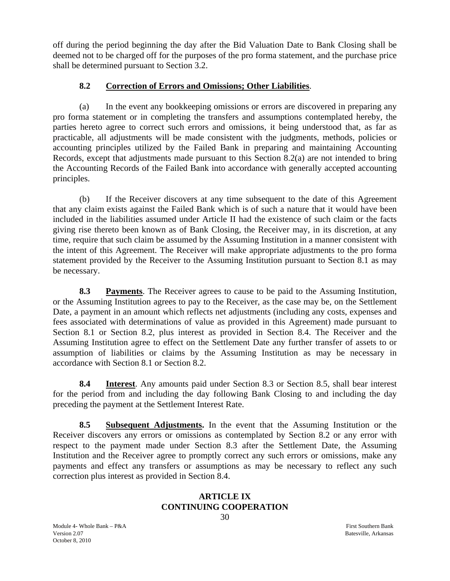off during the period beginning the day after the Bid Valuation Date to Bank Closing shall be deemed not to be charged off for the purposes of the pro forma statement, and the purchase price shall be determined pursuant to Section 3.2.

## **8.2 Correction of Errors and Omissions; Other Liabilities**.

(a) In the event any bookkeeping omissions or errors are discovered in preparing any pro forma statement or in completing the transfers and assumptions contemplated hereby, the parties hereto agree to correct such errors and omissions, it being understood that, as far as practicable, all adjustments will be made consistent with the judgments, methods, policies or accounting principles utilized by the Failed Bank in preparing and maintaining Accounting Records, except that adjustments made pursuant to this Section 8.2(a) are not intended to bring the Accounting Records of the Failed Bank into accordance with generally accepted accounting principles.

(b) If the Receiver discovers at any time subsequent to the date of this Agreement that any claim exists against the Failed Bank which is of such a nature that it would have been included in the liabilities assumed under Article II had the existence of such claim or the facts giving rise thereto been known as of Bank Closing, the Receiver may, in its discretion, at any time, require that such claim be assumed by the Assuming Institution in a manner consistent with the intent of this Agreement. The Receiver will make appropriate adjustments to the pro forma statement provided by the Receiver to the Assuming Institution pursuant to Section 8.1 as may be necessary.

**8.3 Payments**. The Receiver agrees to cause to be paid to the Assuming Institution, or the Assuming Institution agrees to pay to the Receiver, as the case may be, on the Settlement Date, a payment in an amount which reflects net adjustments (including any costs, expenses and fees associated with determinations of value as provided in this Agreement) made pursuant to Section 8.1 or Section 8.2, plus interest as provided in Section 8.4. The Receiver and the Assuming Institution agree to effect on the Settlement Date any further transfer of assets to or assumption of liabilities or claims by the Assuming Institution as may be necessary in accordance with Section 8.1 or Section 8.2.

**8.4 Interest**. Any amounts paid under Section 8.3 or Section 8.5, shall bear interest for the period from and including the day following Bank Closing to and including the day preceding the payment at the Settlement Interest Rate.

**8.5 Subsequent Adjustments.** In the event that the Assuming Institution or the Receiver discovers any errors or omissions as contemplated by Section 8.2 or any error with respect to the payment made under Section 8.3 after the Settlement Date, the Assuming Institution and the Receiver agree to promptly correct any such errors or omissions, make any payments and effect any transfers or assumptions as may be necessary to reflect any such correction plus interest as provided in Section 8.4.

# **ARTICLE IX CONTINUING COOPERATION**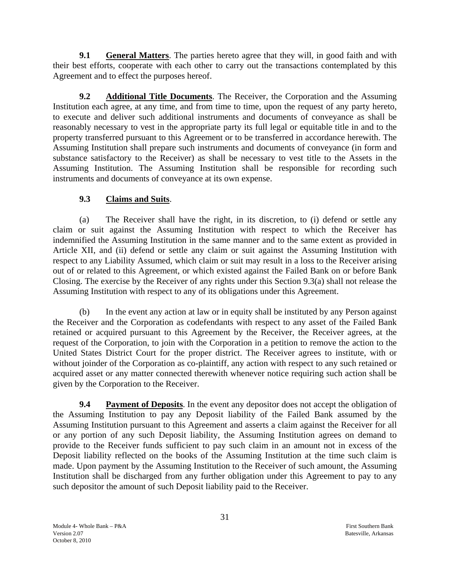**9.1** General Matters. The parties hereto agree that they will, in good faith and with their best efforts, cooperate with each other to carry out the transactions contemplated by this Agreement and to effect the purposes hereof.

**9.2** Additional Title Documents. The Receiver, the Corporation and the Assuming Institution each agree, at any time, and from time to time, upon the request of any party hereto, to execute and deliver such additional instruments and documents of conveyance as shall be reasonably necessary to vest in the appropriate party its full legal or equitable title in and to the property transferred pursuant to this Agreement or to be transferred in accordance herewith. The Assuming Institution shall prepare such instruments and documents of conveyance (in form and substance satisfactory to the Receiver) as shall be necessary to vest title to the Assets in the Assuming Institution. The Assuming Institution shall be responsible for recording such instruments and documents of conveyance at its own expense.

# **9.3 Claims and Suits**.

(a) The Receiver shall have the right, in its discretion, to (i) defend or settle any claim or suit against the Assuming Institution with respect to which the Receiver has indemnified the Assuming Institution in the same manner and to the same extent as provided in Article XII, and (ii) defend or settle any claim or suit against the Assuming Institution with respect to any Liability Assumed, which claim or suit may result in a loss to the Receiver arising out of or related to this Agreement, or which existed against the Failed Bank on or before Bank Closing. The exercise by the Receiver of any rights under this Section 9.3(a) shall not release the Assuming Institution with respect to any of its obligations under this Agreement.

(b) In the event any action at law or in equity shall be instituted by any Person against the Receiver and the Corporation as codefendants with respect to any asset of the Failed Bank retained or acquired pursuant to this Agreement by the Receiver, the Receiver agrees, at the request of the Corporation, to join with the Corporation in a petition to remove the action to the United States District Court for the proper district. The Receiver agrees to institute, with or without joinder of the Corporation as co-plaintiff, any action with respect to any such retained or acquired asset or any matter connected therewith whenever notice requiring such action shall be given by the Corporation to the Receiver.

**9.4** Payment of Deposits. In the event any depositor does not accept the obligation of the Assuming Institution to pay any Deposit liability of the Failed Bank assumed by the Assuming Institution pursuant to this Agreement and asserts a claim against the Receiver for all or any portion of any such Deposit liability, the Assuming Institution agrees on demand to provide to the Receiver funds sufficient to pay such claim in an amount not in excess of the Deposit liability reflected on the books of the Assuming Institution at the time such claim is made. Upon payment by the Assuming Institution to the Receiver of such amount, the Assuming Institution shall be discharged from any further obligation under this Agreement to pay to any such depositor the amount of such Deposit liability paid to the Receiver.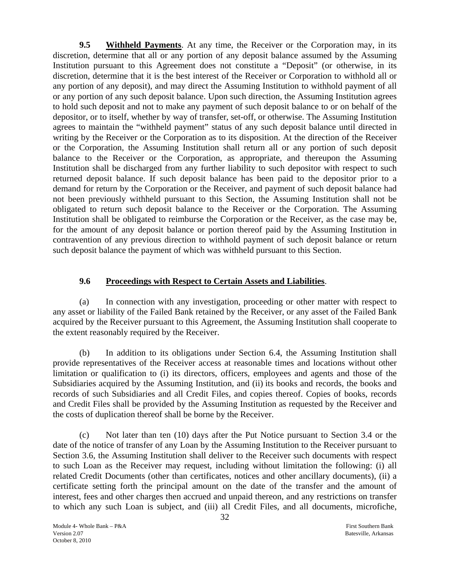**9.5 Withheld Payments**. At any time, the Receiver or the Corporation may, in its discretion, determine that all or any portion of any deposit balance assumed by the Assuming Institution pursuant to this Agreement does not constitute a "Deposit" (or otherwise, in its discretion, determine that it is the best interest of the Receiver or Corporation to withhold all or any portion of any deposit), and may direct the Assuming Institution to withhold payment of all or any portion of any such deposit balance. Upon such direction, the Assuming Institution agrees to hold such deposit and not to make any payment of such deposit balance to or on behalf of the depositor, or to itself, whether by way of transfer, set-off, or otherwise. The Assuming Institution agrees to maintain the "withheld payment" status of any such deposit balance until directed in writing by the Receiver or the Corporation as to its disposition. At the direction of the Receiver or the Corporation, the Assuming Institution shall return all or any portion of such deposit balance to the Receiver or the Corporation, as appropriate, and thereupon the Assuming Institution shall be discharged from any further liability to such depositor with respect to such returned deposit balance. If such deposit balance has been paid to the depositor prior to a demand for return by the Corporation or the Receiver, and payment of such deposit balance had not been previously withheld pursuant to this Section, the Assuming Institution shall not be obligated to return such deposit balance to the Receiver or the Corporation. The Assuming Institution shall be obligated to reimburse the Corporation or the Receiver, as the case may be, for the amount of any deposit balance or portion thereof paid by the Assuming Institution in contravention of any previous direction to withhold payment of such deposit balance or return such deposit balance the payment of which was withheld pursuant to this Section.

## **9.6 Proceedings with Respect to Certain Assets and Liabilities**.

(a) In connection with any investigation, proceeding or other matter with respect to any asset or liability of the Failed Bank retained by the Receiver, or any asset of the Failed Bank acquired by the Receiver pursuant to this Agreement, the Assuming Institution shall cooperate to the extent reasonably required by the Receiver.

(b) In addition to its obligations under Section 6.4, the Assuming Institution shall provide representatives of the Receiver access at reasonable times and locations without other limitation or qualification to (i) its directors, officers, employees and agents and those of the Subsidiaries acquired by the Assuming Institution, and (ii) its books and records, the books and records of such Subsidiaries and all Credit Files, and copies thereof. Copies of books, records and Credit Files shall be provided by the Assuming Institution as requested by the Receiver and the costs of duplication thereof shall be borne by the Receiver.

(c) Not later than ten (10) days after the Put Notice pursuant to Section 3.4 or the date of the notice of transfer of any Loan by the Assuming Institution to the Receiver pursuant to Section 3.6, the Assuming Institution shall deliver to the Receiver such documents with respect to such Loan as the Receiver may request, including without limitation the following: (i) all related Credit Documents (other than certificates, notices and other ancillary documents), (ii) a certificate setting forth the principal amount on the date of the transfer and the amount of interest, fees and other charges then accrued and unpaid thereon, and any restrictions on transfer to which any such Loan is subject, and (iii) all Credit Files, and all documents, microfiche,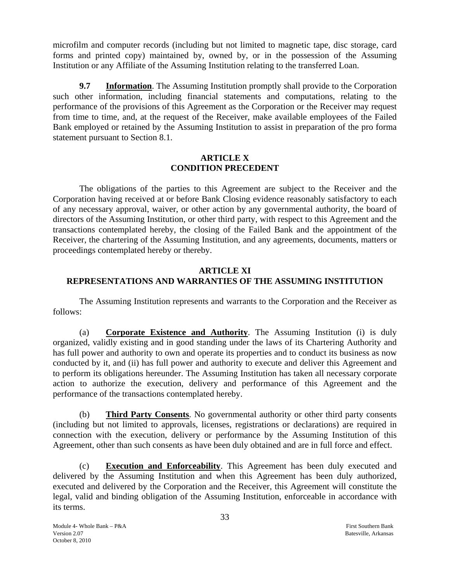microfilm and computer records (including but not limited to magnetic tape, disc storage, card forms and printed copy) maintained by, owned by, or in the possession of the Assuming Institution or any Affiliate of the Assuming Institution relating to the transferred Loan.

**9.7** Information. The Assuming Institution promptly shall provide to the Corporation such other information, including financial statements and computations, relating to the performance of the provisions of this Agreement as the Corporation or the Receiver may request from time to time, and, at the request of the Receiver, make available employees of the Failed Bank employed or retained by the Assuming Institution to assist in preparation of the pro forma statement pursuant to Section 8.1.

## **ARTICLE X CONDITION PRECEDENT**

The obligations of the parties to this Agreement are subject to the Receiver and the Corporation having received at or before Bank Closing evidence reasonably satisfactory to each of any necessary approval, waiver, or other action by any governmental authority, the board of directors of the Assuming Institution, or other third party, with respect to this Agreement and the transactions contemplated hereby, the closing of the Failed Bank and the appointment of the Receiver, the chartering of the Assuming Institution, and any agreements, documents, matters or proceedings contemplated hereby or thereby.

## **ARTICLE XI REPRESENTATIONS AND WARRANTIES OF THE ASSUMING INSTITUTION**

The Assuming Institution represents and warrants to the Corporation and the Receiver as follows:

(a) **Corporate Existence and Authority**. The Assuming Institution (i) is duly organized, validly existing and in good standing under the laws of its Chartering Authority and has full power and authority to own and operate its properties and to conduct its business as now conducted by it, and (ii) has full power and authority to execute and deliver this Agreement and to perform its obligations hereunder. The Assuming Institution has taken all necessary corporate action to authorize the execution, delivery and performance of this Agreement and the performance of the transactions contemplated hereby.

(b) **Third Party Consents**. No governmental authority or other third party consents (including but not limited to approvals, licenses, registrations or declarations) are required in connection with the execution, delivery or performance by the Assuming Institution of this Agreement, other than such consents as have been duly obtained and are in full force and effect.

(c) **Execution and Enforceability**. This Agreement has been duly executed and delivered by the Assuming Institution and when this Agreement has been duly authorized, executed and delivered by the Corporation and the Receiver, this Agreement will constitute the legal, valid and binding obligation of the Assuming Institution, enforceable in accordance with its terms.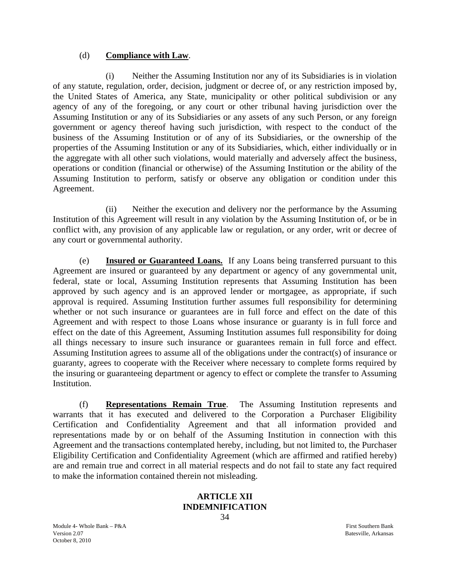## (d) **Compliance with Law**.

(i) Neither the Assuming Institution nor any of its Subsidiaries is in violation of any statute, regulation, order, decision, judgment or decree of, or any restriction imposed by, the United States of America, any State, municipality or other political subdivision or any agency of any of the foregoing, or any court or other tribunal having jurisdiction over the Assuming Institution or any of its Subsidiaries or any assets of any such Person, or any foreign government or agency thereof having such jurisdiction, with respect to the conduct of the business of the Assuming Institution or of any of its Subsidiaries, or the ownership of the properties of the Assuming Institution or any of its Subsidiaries, which, either individually or in the aggregate with all other such violations, would materially and adversely affect the business, operations or condition (financial or otherwise) of the Assuming Institution or the ability of the Assuming Institution to perform, satisfy or observe any obligation or condition under this Agreement.

(ii) Neither the execution and delivery nor the performance by the Assuming Institution of this Agreement will result in any violation by the Assuming Institution of, or be in conflict with, any provision of any applicable law or regulation, or any order, writ or decree of any court or governmental authority.

(e) **Insured or Guaranteed Loans.** If any Loans being transferred pursuant to this Agreement are insured or guaranteed by any department or agency of any governmental unit, federal, state or local, Assuming Institution represents that Assuming Institution has been approved by such agency and is an approved lender or mortgagee, as appropriate, if such approval is required. Assuming Institution further assumes full responsibility for determining whether or not such insurance or guarantees are in full force and effect on the date of this Agreement and with respect to those Loans whose insurance or guaranty is in full force and effect on the date of this Agreement, Assuming Institution assumes full responsibility for doing all things necessary to insure such insurance or guarantees remain in full force and effect. Assuming Institution agrees to assume all of the obligations under the contract(s) of insurance or guaranty, agrees to cooperate with the Receiver where necessary to complete forms required by the insuring or guaranteeing department or agency to effect or complete the transfer to Assuming Institution.

(f) **Representations Remain True**. The Assuming Institution represents and warrants that it has executed and delivered to the Corporation a Purchaser Eligibility Certification and Confidentiality Agreement and that all information provided and representations made by or on behalf of the Assuming Institution in connection with this Agreement and the transactions contemplated hereby, including, but not limited to, the Purchaser Eligibility Certification and Confidentiality Agreement (which are affirmed and ratified hereby) are and remain true and correct in all material respects and do not fail to state any fact required to make the information contained therein not misleading.

# **ARTICLE XII INDEMNIFICATION**

October 8, 2010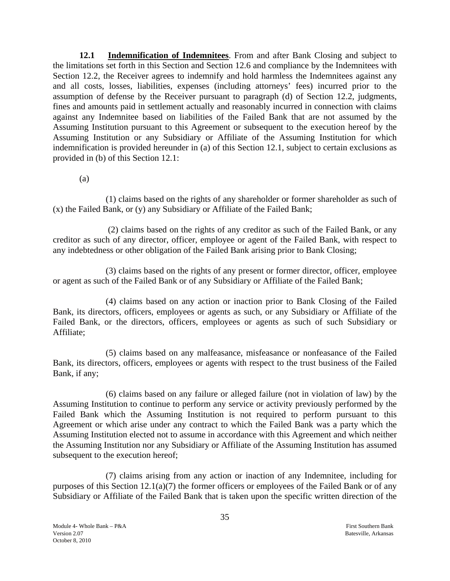**12.1 Indemnification of Indemnitees**. From and after Bank Closing and subject to the limitations set forth in this Section and Section 12.6 and compliance by the Indemnitees with Section 12.2, the Receiver agrees to indemnify and hold harmless the Indemnitees against any and all costs, losses, liabilities, expenses (including attorneys' fees) incurred prior to the assumption of defense by the Receiver pursuant to paragraph (d) of Section 12.2, judgments, fines and amounts paid in settlement actually and reasonably incurred in connection with claims against any Indemnitee based on liabilities of the Failed Bank that are not assumed by the Assuming Institution pursuant to this Agreement or subsequent to the execution hereof by the Assuming Institution or any Subsidiary or Affiliate of the Assuming Institution for which indemnification is provided hereunder in (a) of this Section 12.1, subject to certain exclusions as provided in (b) of this Section 12.1:

(a)

(1) claims based on the rights of any shareholder or former shareholder as such of (x) the Failed Bank, or (y) any Subsidiary or Affiliate of the Failed Bank;

(2) claims based on the rights of any creditor as such of the Failed Bank, or any creditor as such of any director, officer, employee or agent of the Failed Bank, with respect to any indebtedness or other obligation of the Failed Bank arising prior to Bank Closing;

(3) claims based on the rights of any present or former director, officer, employee or agent as such of the Failed Bank or of any Subsidiary or Affiliate of the Failed Bank;

(4) claims based on any action or inaction prior to Bank Closing of the Failed Bank, its directors, officers, employees or agents as such, or any Subsidiary or Affiliate of the Failed Bank, or the directors, officers, employees or agents as such of such Subsidiary or Affiliate;

(5) claims based on any malfeasance, misfeasance or nonfeasance of the Failed Bank, its directors, officers, employees or agents with respect to the trust business of the Failed Bank, if any;

(6) claims based on any failure or alleged failure (not in violation of law) by the Assuming Institution to continue to perform any service or activity previously performed by the Failed Bank which the Assuming Institution is not required to perform pursuant to this Agreement or which arise under any contract to which the Failed Bank was a party which the Assuming Institution elected not to assume in accordance with this Agreement and which neither the Assuming Institution nor any Subsidiary or Affiliate of the Assuming Institution has assumed subsequent to the execution hereof;

(7) claims arising from any action or inaction of any Indemnitee, including for purposes of this Section 12.1(a)(7) the former officers or employees of the Failed Bank or of any Subsidiary or Affiliate of the Failed Bank that is taken upon the specific written direction of the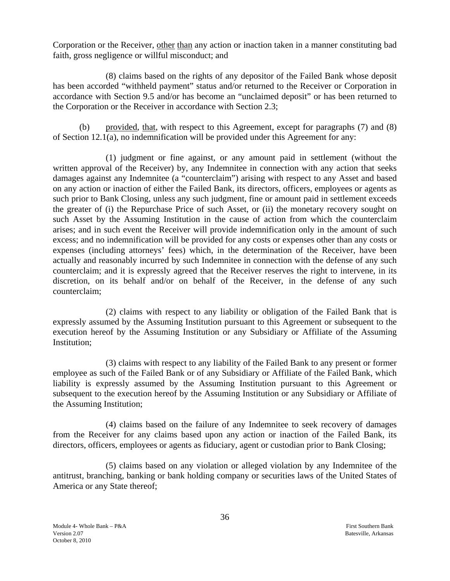Corporation or the Receiver, other than any action or inaction taken in a manner constituting bad faith, gross negligence or willful misconduct; and

(8) claims based on the rights of any depositor of the Failed Bank whose deposit has been accorded "withheld payment" status and/or returned to the Receiver or Corporation in accordance with Section 9.5 and/or has become an "unclaimed deposit" or has been returned to the Corporation or the Receiver in accordance with Section 2.3;

(b) provided, that, with respect to this Agreement, except for paragraphs (7) and (8) of Section 12.1(a), no indemnification will be provided under this Agreement for any:

(1) judgment or fine against, or any amount paid in settlement (without the written approval of the Receiver) by, any Indemnitee in connection with any action that seeks damages against any Indemnitee (a "counterclaim") arising with respect to any Asset and based on any action or inaction of either the Failed Bank, its directors, officers, employees or agents as such prior to Bank Closing, unless any such judgment, fine or amount paid in settlement exceeds the greater of (i) the Repurchase Price of such Asset, or (ii) the monetary recovery sought on such Asset by the Assuming Institution in the cause of action from which the counterclaim arises; and in such event the Receiver will provide indemnification only in the amount of such excess; and no indemnification will be provided for any costs or expenses other than any costs or expenses (including attorneys' fees) which, in the determination of the Receiver, have been actually and reasonably incurred by such Indemnitee in connection with the defense of any such counterclaim; and it is expressly agreed that the Receiver reserves the right to intervene, in its discretion, on its behalf and/or on behalf of the Receiver, in the defense of any such counterclaim;

(2) claims with respect to any liability or obligation of the Failed Bank that is expressly assumed by the Assuming Institution pursuant to this Agreement or subsequent to the execution hereof by the Assuming Institution or any Subsidiary or Affiliate of the Assuming Institution;

(3) claims with respect to any liability of the Failed Bank to any present or former employee as such of the Failed Bank or of any Subsidiary or Affiliate of the Failed Bank, which liability is expressly assumed by the Assuming Institution pursuant to this Agreement or subsequent to the execution hereof by the Assuming Institution or any Subsidiary or Affiliate of the Assuming Institution;

(4) claims based on the failure of any Indemnitee to seek recovery of damages from the Receiver for any claims based upon any action or inaction of the Failed Bank, its directors, officers, employees or agents as fiduciary, agent or custodian prior to Bank Closing;

(5) claims based on any violation or alleged violation by any Indemnitee of the antitrust, branching, banking or bank holding company or securities laws of the United States of America or any State thereof;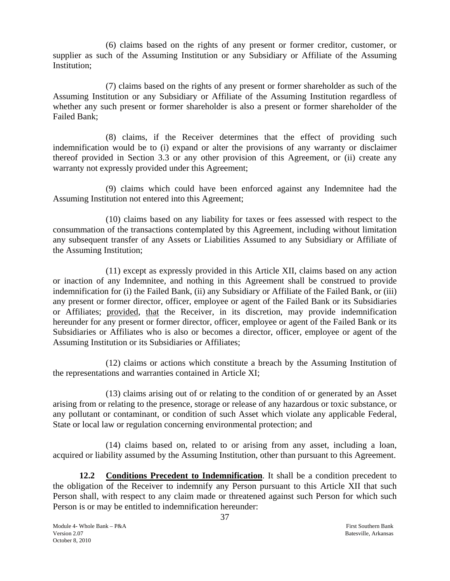(6) claims based on the rights of any present or former creditor, customer, or supplier as such of the Assuming Institution or any Subsidiary or Affiliate of the Assuming Institution;

(7) claims based on the rights of any present or former shareholder as such of the Assuming Institution or any Subsidiary or Affiliate of the Assuming Institution regardless of whether any such present or former shareholder is also a present or former shareholder of the Failed Bank;

(8) claims, if the Receiver determines that the effect of providing such indemnification would be to (i) expand or alter the provisions of any warranty or disclaimer thereof provided in Section 3.3 or any other provision of this Agreement, or (ii) create any warranty not expressly provided under this Agreement;

(9) claims which could have been enforced against any Indemnitee had the Assuming Institution not entered into this Agreement;

(10) claims based on any liability for taxes or fees assessed with respect to the consummation of the transactions contemplated by this Agreement, including without limitation any subsequent transfer of any Assets or Liabilities Assumed to any Subsidiary or Affiliate of the Assuming Institution;

(11) except as expressly provided in this Article XII, claims based on any action or inaction of any Indemnitee, and nothing in this Agreement shall be construed to provide indemnification for (i) the Failed Bank, (ii) any Subsidiary or Affiliate of the Failed Bank, or (iii) any present or former director, officer, employee or agent of the Failed Bank or its Subsidiaries or Affiliates; provided, that the Receiver, in its discretion, may provide indemnification hereunder for any present or former director, officer, employee or agent of the Failed Bank or its Subsidiaries or Affiliates who is also or becomes a director, officer, employee or agent of the Assuming Institution or its Subsidiaries or Affiliates;

(12) claims or actions which constitute a breach by the Assuming Institution of the representations and warranties contained in Article XI;

(13) claims arising out of or relating to the condition of or generated by an Asset arising from or relating to the presence, storage or release of any hazardous or toxic substance, or any pollutant or contaminant, or condition of such Asset which violate any applicable Federal, State or local law or regulation concerning environmental protection; and

(14) claims based on, related to or arising from any asset, including a loan, acquired or liability assumed by the Assuming Institution, other than pursuant to this Agreement.

**12.2 Conditions Precedent to Indemnification**. It shall be a condition precedent to the obligation of the Receiver to indemnify any Person pursuant to this Article XII that such Person shall, with respect to any claim made or threatened against such Person for which such Person is or may be entitled to indemnification hereunder: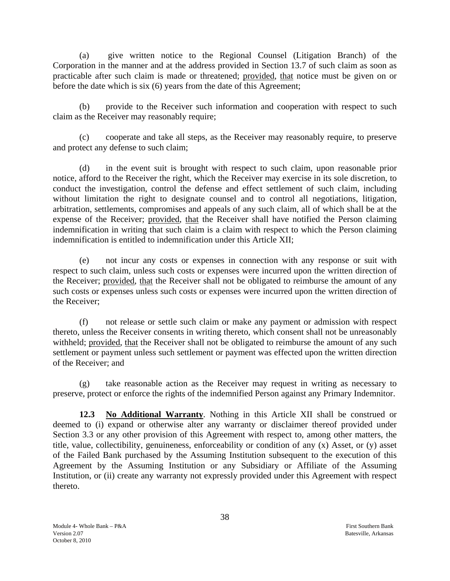(a) give written notice to the Regional Counsel (Litigation Branch) of the Corporation in the manner and at the address provided in Section 13.7 of such claim as soon as practicable after such claim is made or threatened; provided, that notice must be given on or before the date which is six (6) years from the date of this Agreement;

(b) provide to the Receiver such information and cooperation with respect to such claim as the Receiver may reasonably require;

(c) cooperate and take all steps, as the Receiver may reasonably require, to preserve and protect any defense to such claim;

(d) in the event suit is brought with respect to such claim, upon reasonable prior notice, afford to the Receiver the right, which the Receiver may exercise in its sole discretion, to conduct the investigation, control the defense and effect settlement of such claim, including without limitation the right to designate counsel and to control all negotiations, litigation, arbitration, settlements, compromises and appeals of any such claim, all of which shall be at the expense of the Receiver; provided, that the Receiver shall have notified the Person claiming indemnification in writing that such claim is a claim with respect to which the Person claiming indemnification is entitled to indemnification under this Article XII;

(e) not incur any costs or expenses in connection with any response or suit with respect to such claim, unless such costs or expenses were incurred upon the written direction of the Receiver; provided, that the Receiver shall not be obligated to reimburse the amount of any such costs or expenses unless such costs or expenses were incurred upon the written direction of the Receiver;

(f) not release or settle such claim or make any payment or admission with respect thereto, unless the Receiver consents in writing thereto, which consent shall not be unreasonably withheld; provided, that the Receiver shall not be obligated to reimburse the amount of any such settlement or payment unless such settlement or payment was effected upon the written direction of the Receiver; and

(g) take reasonable action as the Receiver may request in writing as necessary to preserve, protect or enforce the rights of the indemnified Person against any Primary Indemnitor.

**12.3 No Additional Warranty**. Nothing in this Article XII shall be construed or deemed to (i) expand or otherwise alter any warranty or disclaimer thereof provided under Section 3.3 or any other provision of this Agreement with respect to, among other matters, the title, value, collectibility, genuineness, enforceability or condition of any (x) Asset, or (y) asset of the Failed Bank purchased by the Assuming Institution subsequent to the execution of this Agreement by the Assuming Institution or any Subsidiary or Affiliate of the Assuming Institution, or (ii) create any warranty not expressly provided under this Agreement with respect thereto.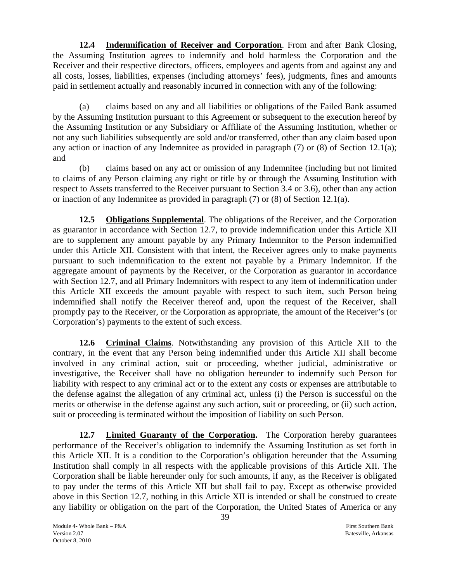**12.4 Indemnification of Receiver and Corporation**. From and after Bank Closing, the Assuming Institution agrees to indemnify and hold harmless the Corporation and the Receiver and their respective directors, officers, employees and agents from and against any and all costs, losses, liabilities, expenses (including attorneys' fees), judgments, fines and amounts paid in settlement actually and reasonably incurred in connection with any of the following:

(a) claims based on any and all liabilities or obligations of the Failed Bank assumed by the Assuming Institution pursuant to this Agreement or subsequent to the execution hereof by the Assuming Institution or any Subsidiary or Affiliate of the Assuming Institution, whether or not any such liabilities subsequently are sold and/or transferred, other than any claim based upon any action or inaction of any Indemnitee as provided in paragraph (7) or (8) of Section 12.1(a); and

(b) claims based on any act or omission of any Indemnitee (including but not limited to claims of any Person claiming any right or title by or through the Assuming Institution with respect to Assets transferred to the Receiver pursuant to Section 3.4 or 3.6), other than any action or inaction of any Indemnitee as provided in paragraph (7) or (8) of Section 12.1(a).

**12.5 Obligations Supplemental**. The obligations of the Receiver, and the Corporation as guarantor in accordance with Section 12.7, to provide indemnification under this Article XII are to supplement any amount payable by any Primary Indemnitor to the Person indemnified under this Article XII. Consistent with that intent, the Receiver agrees only to make payments pursuant to such indemnification to the extent not payable by a Primary Indemnitor. If the aggregate amount of payments by the Receiver, or the Corporation as guarantor in accordance with Section 12.7, and all Primary Indemnitors with respect to any item of indemnification under this Article XII exceeds the amount payable with respect to such item, such Person being indemnified shall notify the Receiver thereof and, upon the request of the Receiver, shall promptly pay to the Receiver, or the Corporation as appropriate, the amount of the Receiver's (or Corporation's) payments to the extent of such excess.

**12.6 Criminal Claims**. Notwithstanding any provision of this Article XII to the contrary, in the event that any Person being indemnified under this Article XII shall become involved in any criminal action, suit or proceeding, whether judicial, administrative or investigative, the Receiver shall have no obligation hereunder to indemnify such Person for liability with respect to any criminal act or to the extent any costs or expenses are attributable to the defense against the allegation of any criminal act, unless (i) the Person is successful on the merits or otherwise in the defense against any such action, suit or proceeding, or (ii) such action, suit or proceeding is terminated without the imposition of liability on such Person.

**12.7 Limited Guaranty of the Corporation.** The Corporation hereby guarantees performance of the Receiver's obligation to indemnify the Assuming Institution as set forth in this Article XII. It is a condition to the Corporation's obligation hereunder that the Assuming Institution shall comply in all respects with the applicable provisions of this Article XII. The Corporation shall be liable hereunder only for such amounts, if any, as the Receiver is obligated to pay under the terms of this Article XII but shall fail to pay. Except as otherwise provided above in this Section 12.7, nothing in this Article XII is intended or shall be construed to create any liability or obligation on the part of the Corporation, the United States of America or any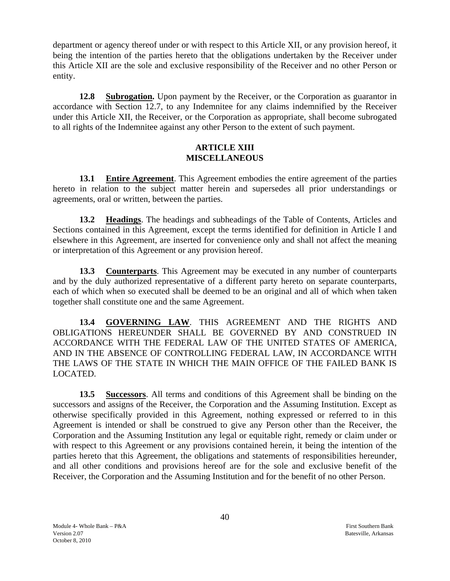department or agency thereof under or with respect to this Article XII, or any provision hereof, it being the intention of the parties hereto that the obligations undertaken by the Receiver under this Article XII are the sole and exclusive responsibility of the Receiver and no other Person or entity.

**12.8 Subrogation.** Upon payment by the Receiver, or the Corporation as guarantor in accordance with Section 12.7, to any Indemnitee for any claims indemnified by the Receiver under this Article XII, the Receiver, or the Corporation as appropriate, shall become subrogated to all rights of the Indemnitee against any other Person to the extent of such payment.

## **ARTICLE XIII MISCELLANEOUS**

**13.1 Entire Agreement**. This Agreement embodies the entire agreement of the parties hereto in relation to the subject matter herein and supersedes all prior understandings or agreements, oral or written, between the parties.

**13.2 Headings**. The headings and subheadings of the Table of Contents, Articles and Sections contained in this Agreement, except the terms identified for definition in Article I and elsewhere in this Agreement, are inserted for convenience only and shall not affect the meaning or interpretation of this Agreement or any provision hereof.

**13.3 Counterparts**. This Agreement may be executed in any number of counterparts and by the duly authorized representative of a different party hereto on separate counterparts, each of which when so executed shall be deemed to be an original and all of which when taken together shall constitute one and the same Agreement.

**13.4 GOVERNING LAW**. THIS AGREEMENT AND THE RIGHTS AND OBLIGATIONS HEREUNDER SHALL BE GOVERNED BY AND CONSTRUED IN ACCORDANCE WITH THE FEDERAL LAW OF THE UNITED STATES OF AMERICA, AND IN THE ABSENCE OF CONTROLLING FEDERAL LAW, IN ACCORDANCE WITH THE LAWS OF THE STATE IN WHICH THE MAIN OFFICE OF THE FAILED BANK IS LOCATED.

**13.5 Successors**. All terms and conditions of this Agreement shall be binding on the successors and assigns of the Receiver, the Corporation and the Assuming Institution. Except as otherwise specifically provided in this Agreement, nothing expressed or referred to in this Agreement is intended or shall be construed to give any Person other than the Receiver, the Corporation and the Assuming Institution any legal or equitable right, remedy or claim under or with respect to this Agreement or any provisions contained herein, it being the intention of the parties hereto that this Agreement, the obligations and statements of responsibilities hereunder, and all other conditions and provisions hereof are for the sole and exclusive benefit of the Receiver, the Corporation and the Assuming Institution and for the benefit of no other Person.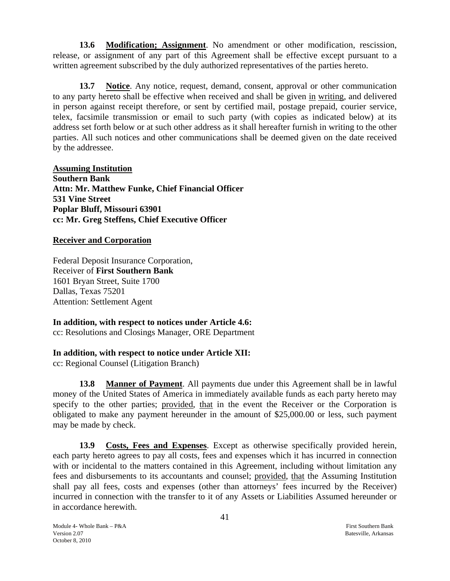**13.6 Modification; Assignment**. No amendment or other modification, rescission, release, or assignment of any part of this Agreement shall be effective except pursuant to a written agreement subscribed by the duly authorized representatives of the parties hereto.

**13.7 Notice**. Any notice, request, demand, consent, approval or other communication to any party hereto shall be effective when received and shall be given in writing, and delivered in person against receipt therefore, or sent by certified mail, postage prepaid, courier service, telex, facsimile transmission or email to such party (with copies as indicated below) at its address set forth below or at such other address as it shall hereafter furnish in writing to the other parties. All such notices and other communications shall be deemed given on the date received by the addressee.

**Assuming Institution Southern Bank Attn: Mr. Matthew Funke, Chief Financial Officer 531 Vine Street Poplar Bluff, Missouri 63901 cc: Mr. Greg Steffens, Chief Executive Officer** 

## **Receiver and Corporation**

Federal Deposit Insurance Corporation, Receiver of **First Southern Bank**  1601 Bryan Street, Suite 1700 Dallas, Texas 75201 Attention: Settlement Agent

**In addition, with respect to notices under Article 4.6:**  cc: Resolutions and Closings Manager, ORE Department

## **In addition, with respect to notice under Article XII:**

cc: Regional Counsel (Litigation Branch)

**13.8 Manner of Payment**. All payments due under this Agreement shall be in lawful money of the United States of America in immediately available funds as each party hereto may specify to the other parties; provided, that in the event the Receiver or the Corporation is obligated to make any payment hereunder in the amount of \$25,000.00 or less, such payment may be made by check.

**13.9 Costs, Fees and Expenses**. Except as otherwise specifically provided herein, each party hereto agrees to pay all costs, fees and expenses which it has incurred in connection with or incidental to the matters contained in this Agreement, including without limitation any fees and disbursements to its accountants and counsel; provided, that the Assuming Institution shall pay all fees, costs and expenses (other than attorneys' fees incurred by the Receiver) incurred in connection with the transfer to it of any Assets or Liabilities Assumed hereunder or in accordance herewith.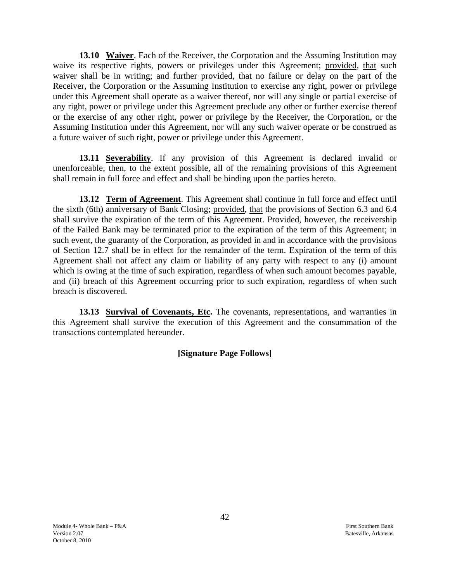**13.10 Waiver**. Each of the Receiver, the Corporation and the Assuming Institution may waive its respective rights, powers or privileges under this Agreement; provided, that such waiver shall be in writing; and further provided, that no failure or delay on the part of the Receiver, the Corporation or the Assuming Institution to exercise any right, power or privilege under this Agreement shall operate as a waiver thereof, nor will any single or partial exercise of any right, power or privilege under this Agreement preclude any other or further exercise thereof or the exercise of any other right, power or privilege by the Receiver, the Corporation, or the Assuming Institution under this Agreement, nor will any such waiver operate or be construed as a future waiver of such right, power or privilege under this Agreement.

**13.11 Severability**. If any provision of this Agreement is declared invalid or unenforceable, then, to the extent possible, all of the remaining provisions of this Agreement shall remain in full force and effect and shall be binding upon the parties hereto.

**13.12 Term of Agreement**. This Agreement shall continue in full force and effect until the sixth (6th) anniversary of Bank Closing; provided, that the provisions of Section 6.3 and 6.4 shall survive the expiration of the term of this Agreement. Provided, however, the receivership of the Failed Bank may be terminated prior to the expiration of the term of this Agreement; in such event, the guaranty of the Corporation, as provided in and in accordance with the provisions of Section 12.7 shall be in effect for the remainder of the term. Expiration of the term of this Agreement shall not affect any claim or liability of any party with respect to any (i) amount which is owing at the time of such expiration, regardless of when such amount becomes payable, and (ii) breach of this Agreement occurring prior to such expiration, regardless of when such breach is discovered.

**13.13 Survival of Covenants, Etc.** The covenants, representations, and warranties in this Agreement shall survive the execution of this Agreement and the consummation of the transactions contemplated hereunder.

# **[Signature Page Follows]**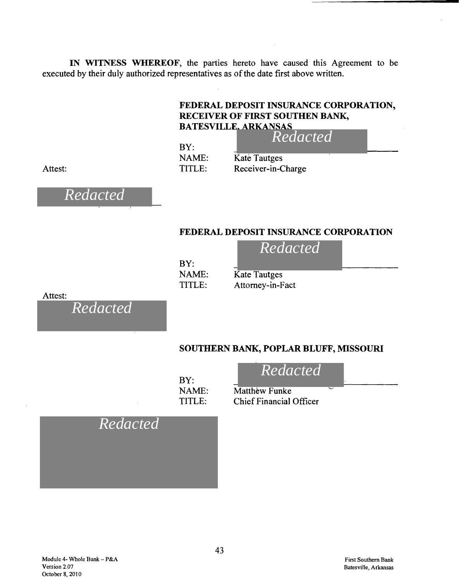**IN WITNESS WHEREOF,** the parties hereto have caused this Agreement to be executed by their duly authorized representatives as of the date first above written.

#### **FEDERAL DEPOSIT INSURANCE CORPORATION, RECEIVER OF FIRST SOUTHEN BANK,**  BATESVILLE, ARKANSAS *Redacted*

|         |        | <i><b>Reaa</b></i>  |
|---------|--------|---------------------|
|         | BY:    | ---                 |
|         | NAME:  | <b>Kate Tautges</b> |
| Attest: | TITLE: | Receiver-in-Charge  |

*Redacted*

#### **FEDERAL DEPOSIT INSURANCE CORPORATION**

*Redacted*

BY: NAME: TITLE: Attorney-in-Fact

Kate Tautges

Attest:

*Redacted*

#### **SOUTHERN BANK, POPLAR BLUFF, MISSOURI**

BY: NAME: *Redacted*

TITLE: Chief Financial Officer Matthew Funke

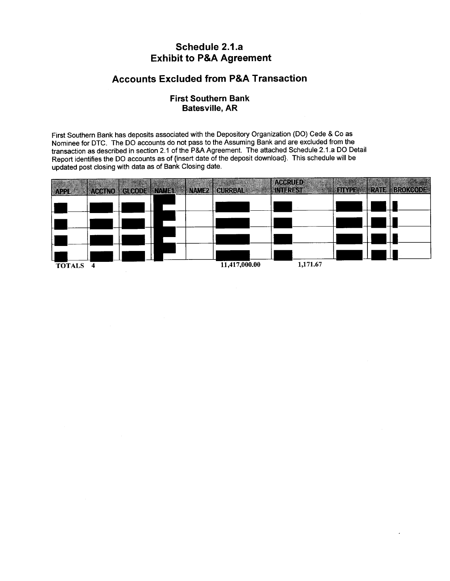# Schedule 2.1.a Exhibit to P&A Agreement

# Accounts Excluded from P&A Transaction

#### First Southern Bank Batesvile, AR

First Southern Bank has deposits associated with the Depository Organization (DO) Cede & Co as Nominee for DTC. The DO accounts do not pass to the Assuming Bank and are excluded from the transaction as described in section 2.1 of the P&A Agreement. The attached Schedule 2.1.a DO Detail Report identifies the DO accounts as of (insert date of the deposit download). This schedule will be updated post closing with data as of Bank Closing date.

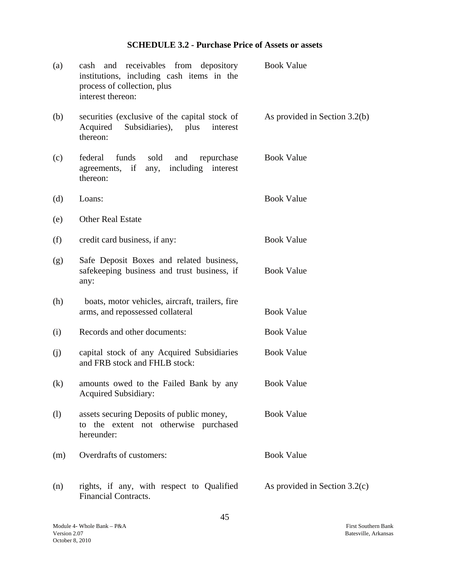# **SCHEDULE 3.2 - Purchase Price of Assets or assets**

| (a) | cash and receivables from depository<br>institutions, including cash items in the<br>process of collection, plus<br>interest thereon: | <b>Book Value</b>               |
|-----|---------------------------------------------------------------------------------------------------------------------------------------|---------------------------------|
| (b) | securities (exclusive of the capital stock of<br>Subsidiaries), plus<br>Acquired<br>interest<br>thereon:                              | As provided in Section 3.2(b)   |
| (c) | sold<br>federal<br>funds<br>and<br>repurchase<br>agreements, if<br>including<br>any,<br>interest<br>thereon:                          | <b>Book Value</b>               |
| (d) | Loans:                                                                                                                                | <b>Book Value</b>               |
| (e) | <b>Other Real Estate</b>                                                                                                              |                                 |
| (f) | credit card business, if any:                                                                                                         | <b>Book Value</b>               |
| (g) | Safe Deposit Boxes and related business,<br>safekeeping business and trust business, if<br>any:                                       | <b>Book Value</b>               |
| (h) | boats, motor vehicles, aircraft, trailers, fire<br>arms, and repossessed collateral                                                   | <b>Book Value</b>               |
| (i) | Records and other documents:                                                                                                          | <b>Book Value</b>               |
| (j) | capital stock of any Acquired Subsidiaries<br>and FRB stock and FHLB stock:                                                           | <b>Book Value</b>               |
| (k) | amounts owed to the Failed Bank by any<br><b>Acquired Subsidiary:</b>                                                                 | <b>Book Value</b>               |
| (1) | assets securing Deposits of public money,<br>to the extent not otherwise purchased<br>hereunder:                                      | <b>Book Value</b>               |
| (m) | Overdrafts of customers:                                                                                                              | <b>Book Value</b>               |
| (n) | rights, if any, with respect to Qualified<br>Financial Contracts.                                                                     | As provided in Section $3.2(c)$ |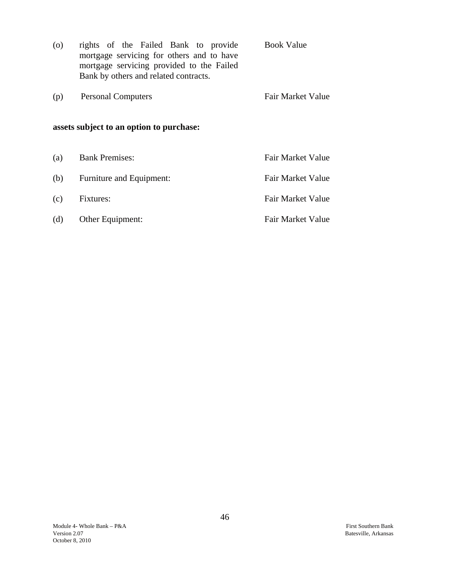| (0) | rights of the Failed Bank to provide<br>mortgage servicing for others and to have<br>mortgage servicing provided to the Failed<br>Bank by others and related contracts. | <b>Book Value</b> |
|-----|-------------------------------------------------------------------------------------------------------------------------------------------------------------------------|-------------------|
| (p) | <b>Personal Computers</b>                                                                                                                                               | Fair Market Value |

# **assets subject to an option to purchase:**

| (a) | <b>Bank Premises:</b>    | Fair Market Value |
|-----|--------------------------|-------------------|
| (b) | Furniture and Equipment: | Fair Market Value |
| (c) | Fixtures:                | Fair Market Value |
| (d) | Other Equipment:         | Fair Market Value |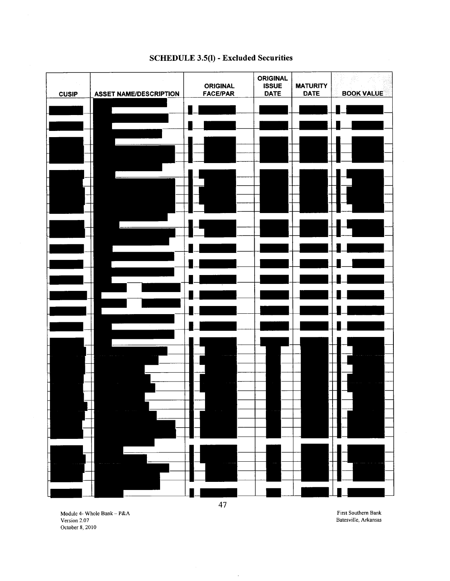

 $\ddot{\phantom{0}}$ 

## SCHEDULE 3.5(1) - Excluded Securities

Module 4- Whole Bank - P&A First Southern Bank<br>
Version 2.07 Statesville, Arkansas October 8, 2010

Batesville, Arkansas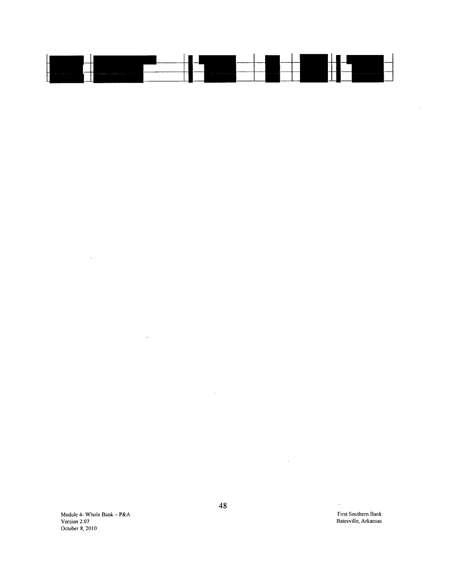|                                                           |                                     | $\blacksquare$<br>$\mathbf{1}$<br>ومحدد والمستنصر<br>_______<br>-- |                                                          |
|-----------------------------------------------------------|-------------------------------------|--------------------------------------------------------------------|----------------------------------------------------------|
|                                                           |                                     |                                                                    |                                                          |
| considerable contractors and considerable contractors and | THE R. P. LEWIS CO., LANSING, MICH. |                                                                    | The contract of the contract of the contract of the con- |
|                                                           |                                     |                                                                    |                                                          |

Module 4- Whole Bank -  $P&A$ Version 2.07<br>October 8, 2010

First Southern Bank<br>Batesville, Arkansas

 $\overline{a}$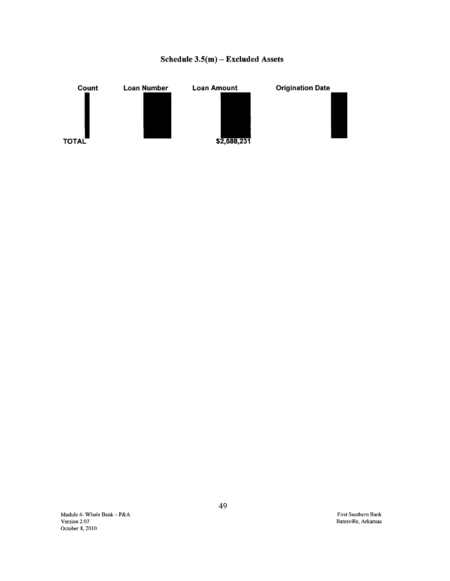## Schedule 3.5(m) - Excluded Assets

 $\bar{z}$ 



Module 4- Whole Bank - P&A First Southern Bank<br>
Version 2.07 Statesville, Arkansas October 8, 2010

 $\bar{z}$ 

Batesville, Arkansas

 $\bar{r}$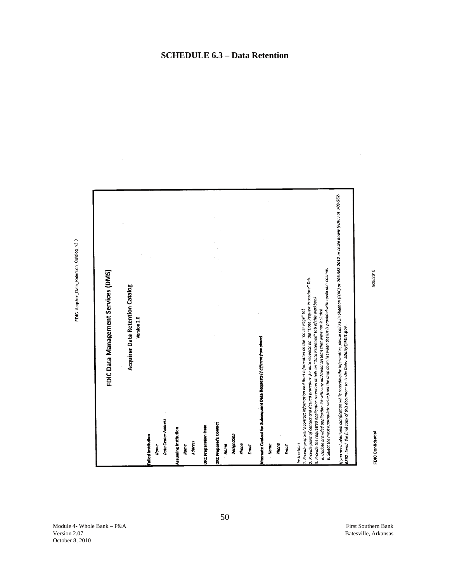

Module 4- Whole Bank – P&A First Southern Bank<br>
Version 2.07 Batesville, Arkansas October 8, 2010

# Batesville, Arkansas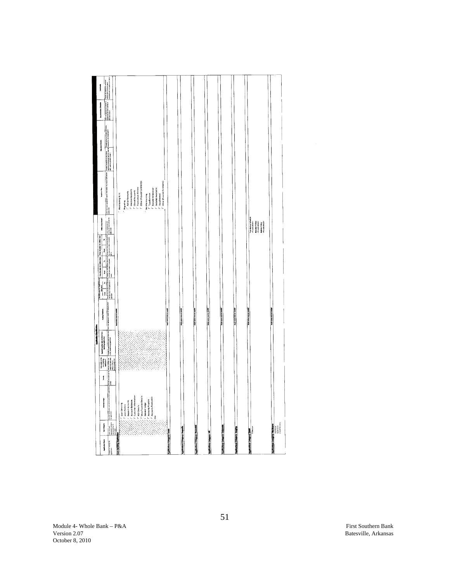

Module 4- Whole Bank – P&A First Southern Bank Version 2.07 First Southern Bank Version 2.07 October 8, 2010

Batesville, Arkansas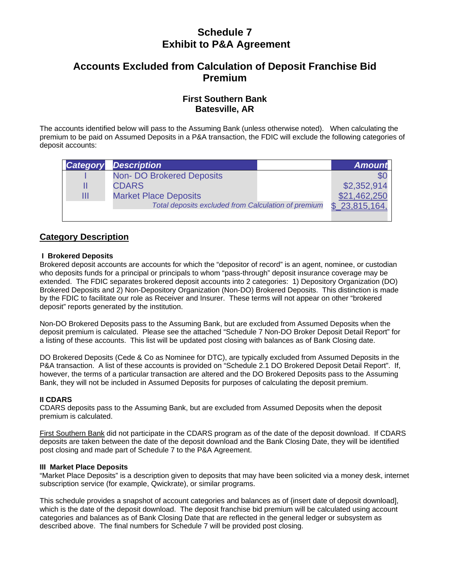# **Schedule 7 Exhibit to P&A Agreement**

# **Premium Accounts Excluded from Calculation of Deposit Franchise Bid**

## **First Southern Bank Batesville, AR**

The accounts identified below will pass to the Assuming Bank (unless otherwise noted). When calculating the premium to be paid on Assumed Deposits in a P&A transaction, the FDIC will exclude the following categories of deposit accounts:

| <b>Category</b> | <b>Description</b>                                  | <b>Amount</b> |
|-----------------|-----------------------------------------------------|---------------|
|                 | <b>Non-DO Brokered Deposits</b>                     | \$0           |
|                 | <b>CDARS</b>                                        | \$2,352,914   |
| Ш               | <b>Market Place Deposits</b>                        | \$21,462,250  |
|                 | Total deposits excluded from Calculation of premium | 23,815,164,   |
|                 |                                                     |               |

## **Category Description**

#### **I Brokered Deposits**

Brokered deposit accounts are accounts for which the "depositor of record" is an agent, nominee, or custodian who deposits funds for a principal or principals to whom "pass-through" deposit insurance coverage may be extended. The FDIC separates brokered deposit accounts into 2 categories: 1) Depository Organization (DO) Brokered Deposits and 2) Non-Depository Organization (Non-DO) Brokered Deposits. This distinction is made by the FDIC to facilitate our role as Receiver and Insurer. These terms will not appear on other "brokered deposit" reports generated by the institution.

Non-DO Brokered Deposits pass to the Assuming Bank, but are excluded from Assumed Deposits when the deposit premium is calculated. Please see the attached "Schedule 7 Non-DO Broker Deposit Detail Report" for a listing of these accounts. This list will be updated post closing with balances as of Bank Closing date.

DO Brokered Deposits (Cede & Co as Nominee for DTC), are typically excluded from Assumed Deposits in the P&A transaction. A list of these accounts is provided on "Schedule 2.1 DO Brokered Deposit Detail Report". If, however, the terms of a particular transaction are altered and the DO Brokered Deposits pass to the Assuming Bank, they will not be included in Assumed Deposits for purposes of calculating the deposit premium.

#### **II CDARS**

CDARS deposits pass to the Assuming Bank, but are excluded from Assumed Deposits when the deposit premium is calculated.

First Southern Bank did not participate in the CDARS program as of the date of the deposit download. If CDARS deposits are taken between the date of the deposit download and the Bank Closing Date, they will be identified post closing and made part of Schedule 7 to the P&A Agreement.

#### **III Market Place Deposits**

"Market Place Deposits" is a description given to deposits that may have been solicited via a money desk, internet subscription service (for example, Qwickrate), or similar programs.

This schedule provides a snapshot of account categories and balances as of {insert date of deposit download], which is the date of the deposit download. The deposit franchise bid premium will be calculated using account categories and balances as of Bank Closing Date that are reflected in the general ledger or subsystem as described above. The final numbers for Schedule 7 will be provided post closing.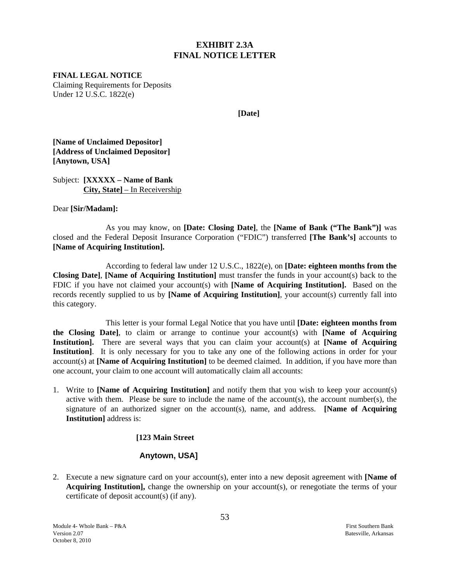## **EXHIBIT 2.3A FINAL NOTICE LETTER**

#### **FINAL LEGAL NOTICE**

Claiming Requirements for Deposits Under 12 U.S.C. 1822(e)

**[Date]** 

**[Name of Unclaimed Depositor] [Address of Unclaimed Depositor] [Anytown, USA]** 

Subject: **[XXXXX – Name of Bank City, State]** – In Receivership

Dear **[Sir/Madam]:** 

As you may know, on **[Date: Closing Date]**, the **[Name of Bank ("The Bank")]** was closed and the Federal Deposit Insurance Corporation ("FDIC") transferred **[The Bank's]** accounts to **[Name of Acquiring Institution].** 

According to federal law under 12 U.S.C., 1822(e), on **[Date: eighteen months from the Closing Date]**, **[Name of Acquiring Institution]** must transfer the funds in your account(s) back to the FDIC if you have not claimed your account(s) with **[Name of Acquiring Institution].** Based on the records recently supplied to us by **[Name of Acquiring Institution]**, your account(s) currently fall into this category.

 **Institution].** There are several ways that you can claim your account(s) at **[Name of Acquiring**  Institution]. It is only necessary for you to take any one of the following actions in order for your This letter is your formal Legal Notice that you have until **[Date: eighteen months from the Closing Date]**, to claim or arrange to continue your account(s) with **[Name of Acquiring**  account(s) at **[Name of Acquiring Institution]** to be deemed claimed. In addition, if you have more than one account, your claim to one account will automatically claim all accounts:

1. Write to **[Name of Acquiring Institution]** and notify them that you wish to keep your account(s) active with them. Please be sure to include the name of the  $account(s)$ , the  $account number(s)$ , the signature of an authorized signer on the account(s), name, and address. **[Name of Acquiring Institution]** address is:

#### **[123 Main Street**

#### **Anytown, USA]**

2. Execute a new signature card on your account(s), enter into a new deposit agreement with **[Name of Acquiring Institution],** change the ownership on your account(s), or renegotiate the terms of your certificate of deposit account(s) (if any).

Module 4- Whole Bank – P&A First Southern Bank Version 2.07 Batesville, Arkansas October 8, 2010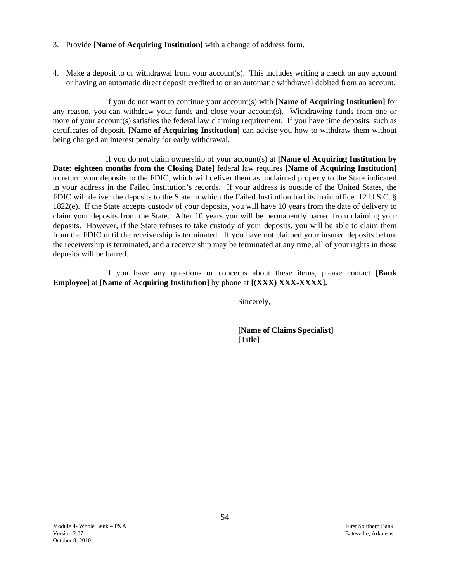- 3. Provide **[Name of Acquiring Institution]** with a change of address form.
- 4. Make a deposit to or withdrawal from your account(s). This includes writing a check on any account or having an automatic direct deposit credited to or an automatic withdrawal debited from an account.

If you do not want to continue your account(s) with **[Name of Acquiring Institution]** for any reason, you can withdraw your funds and close your account(s). Withdrawing funds from one or more of your account(s) satisfies the federal law claiming requirement. If you have time deposits, such as certificates of deposit, **[Name of Acquiring Institution]** can advise you how to withdraw them without being charged an interest penalty for early withdrawal.

If you do not claim ownership of your account(s) at **[Name of Acquiring Institution by Date: eighteen months from the Closing Date]** federal law requires **[Name of Acquiring Institution]**  to return your deposits to the FDIC, which will deliver them as unclaimed property to the State indicated in your address in the Failed Institution's records. If your address is outside of the United States, the FDIC will deliver the deposits to the State in which the Failed Institution had its main office. 12 U.S.C. § 1822(e). If the State accepts custody of your deposits, you will have 10 years from the date of delivery to claim your deposits from the State. After 10 years you will be permanently barred from claiming your deposits. However, if the State refuses to take custody of your deposits, you will be able to claim them from the FDIC until the receivership is terminated. If you have not claimed your insured deposits before the receivership is terminated, and a receivership may be terminated at any time, all of your rights in those deposits will be barred.

If you have any questions or concerns about these items, please contact **[Bank Employee]** at **[Name of Acquiring Institution]** by phone at **[(XXX) XXX-XXXX].** 

Sincerely,

**[Name of Claims Specialist] [Title]**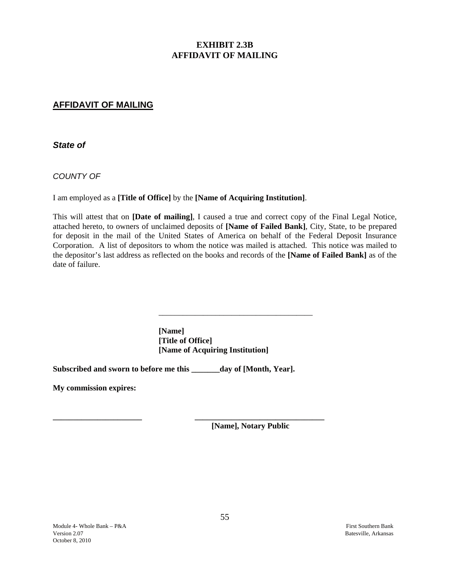# **EXHIBIT 2.3B AFFIDAVIT OF MAILING**

## **AFFIDAVIT OF MAILING**

*State of* 

*COUNTY OF* 

I am employed as a **[Title of Office]** by the **[Name of Acquiring Institution]**.

This will attest that on **[Date of mailing]**, I caused a true and correct copy of the Final Legal Notice, attached hereto, to owners of unclaimed deposits of **[Name of Failed Bank]**, City, State, to be prepared for deposit in the mail of the United States of America on behalf of the Federal Deposit Insurance Corporation. A list of depositors to whom the notice was mailed is attached. This notice was mailed to the depositor's last address as reflected on the books and records of the **[Name of Failed Bank]** as of the date of failure.

> **[Name] [Title of Office] [Name of Acquiring Institution]**

**Subscribed and sworn to before me this \_\_\_\_\_\_\_day of [Month, Year].** 

 $\overline{\phantom{a}}$  ,  $\overline{\phantom{a}}$  ,  $\overline{\phantom{a}}$  ,  $\overline{\phantom{a}}$  ,  $\overline{\phantom{a}}$  ,  $\overline{\phantom{a}}$  ,  $\overline{\phantom{a}}$  ,  $\overline{\phantom{a}}$  ,  $\overline{\phantom{a}}$  ,  $\overline{\phantom{a}}$  ,  $\overline{\phantom{a}}$  ,  $\overline{\phantom{a}}$  ,  $\overline{\phantom{a}}$  ,  $\overline{\phantom{a}}$  ,  $\overline{\phantom{a}}$  ,  $\overline{\phantom{a}}$ 

**My commission expires:** 

**\_\_\_\_\_\_\_\_\_\_\_\_\_\_\_\_\_\_\_\_\_\_ \_\_\_\_\_\_\_\_\_\_\_\_\_\_\_\_\_\_\_\_\_\_\_\_\_\_\_\_\_\_\_\_ [Name], Notary Public**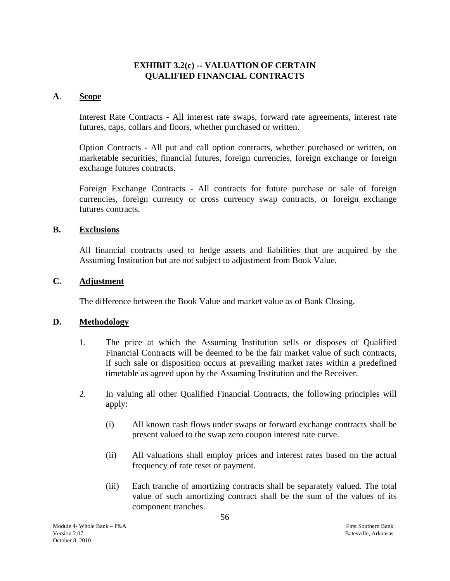## **EXHIBIT 3.2(c) -- VALUATION OF CERTAIN QUALIFIED FINANCIAL CONTRACTS**

## **A**. **Scope**

Interest Rate Contracts - All interest rate swaps, forward rate agreements, interest rate futures, caps, collars and floors, whether purchased or written.

Option Contracts - All put and call option contracts, whether purchased or written, on marketable securities, financial futures, foreign currencies, foreign exchange or foreign exchange futures contracts.

Foreign Exchange Contracts - All contracts for future purchase or sale of foreign currencies, foreign currency or cross currency swap contracts, or foreign exchange futures contracts.

## **B. Exclusions**

All financial contracts used to hedge assets and liabilities that are acquired by the Assuming Institution but are not subject to adjustment from Book Value.

## **C.** Adjustment

The difference between the Book Value and market value as of Bank Closing.

#### **D. Methodology**

- 1. The price at which the Assuming Institution sells or disposes of Qualified Financial Contracts will be deemed to be the fair market value of such contracts, if such sale or disposition occurs at prevailing market rates within a predefined timetable as agreed upon by the Assuming Institution and the Receiver.
- 2. In valuing all other Qualified Financial Contracts, the following principles will apply:
	- (i) All known cash flows under swaps or forward exchange contracts shall be present valued to the swap zero coupon interest rate curve.
	- (ii) All valuations shall employ prices and interest rates based on the actual frequency of rate reset or payment.
	- (iii) Each tranche of amortizing contracts shall be separately valued. The total value of such amortizing contract shall be the sum of the values of its component tranches.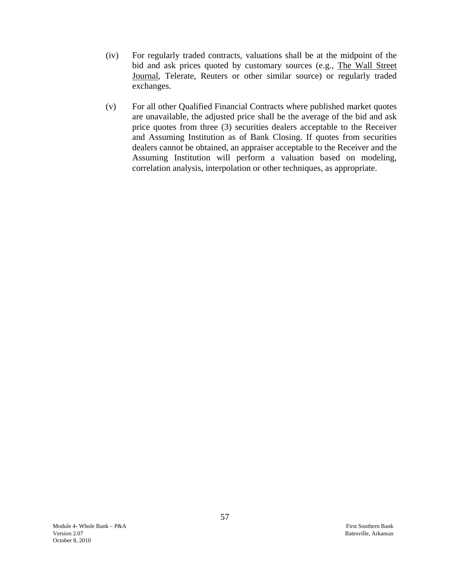- (iv) For regularly traded contracts, valuations shall be at the midpoint of the bid and ask prices quoted by customary sources (e.g., The Wall Street Journal, Telerate, Reuters or other similar source) or regularly traded exchanges.
- (v) For all other Qualified Financial Contracts where published market quotes are unavailable, the adjusted price shall be the average of the bid and ask price quotes from three (3) securities dealers acceptable to the Receiver and Assuming Institution as of Bank Closing. If quotes from securities dealers cannot be obtained, an appraiser acceptable to the Receiver and the Assuming Institution will perform a valuation based on modeling, correlation analysis, interpolation or other techniques, as appropriate.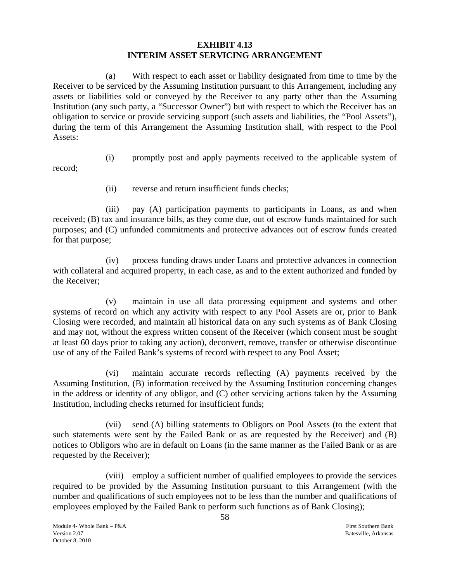## **EXHIBIT 4.13 INTERIM ASSET SERVICING ARRANGEMENT**

(a) With respect to each asset or liability designated from time to time by the Receiver to be serviced by the Assuming Institution pursuant to this Arrangement, including any assets or liabilities sold or conveyed by the Receiver to any party other than the Assuming Institution (any such party, a "Successor Owner") but with respect to which the Receiver has an obligation to service or provide servicing support (such assets and liabilities, the "Pool Assets"), during the term of this Arrangement the Assuming Institution shall, with respect to the Pool Assets:

record;

- (i) promptly post and apply payments received to the applicable system of
- (ii) reverse and return insufficient funds checks;

(iii) pay (A) participation payments to participants in Loans, as and when received; (B) tax and insurance bills, as they come due, out of escrow funds maintained for such purposes; and (C) unfunded commitments and protective advances out of escrow funds created for that purpose;

(iv) process funding draws under Loans and protective advances in connection with collateral and acquired property, in each case, as and to the extent authorized and funded by the Receiver;

(v) maintain in use all data processing equipment and systems and other systems of record on which any activity with respect to any Pool Assets are or, prior to Bank Closing were recorded, and maintain all historical data on any such systems as of Bank Closing and may not, without the express written consent of the Receiver (which consent must be sought at least 60 days prior to taking any action), deconvert, remove, transfer or otherwise discontinue use of any of the Failed Bank's systems of record with respect to any Pool Asset;

(vi) maintain accurate records reflecting (A) payments received by the Assuming Institution, (B) information received by the Assuming Institution concerning changes in the address or identity of any obligor, and (C) other servicing actions taken by the Assuming Institution, including checks returned for insufficient funds;

(vii) send (A) billing statements to Obligors on Pool Assets (to the extent that such statements were sent by the Failed Bank or as are requested by the Receiver) and (B) notices to Obligors who are in default on Loans (in the same manner as the Failed Bank or as are requested by the Receiver);

(viii) employ a sufficient number of qualified employees to provide the services required to be provided by the Assuming Institution pursuant to this Arrangement (with the number and qualifications of such employees not to be less than the number and qualifications of employees employed by the Failed Bank to perform such functions as of Bank Closing);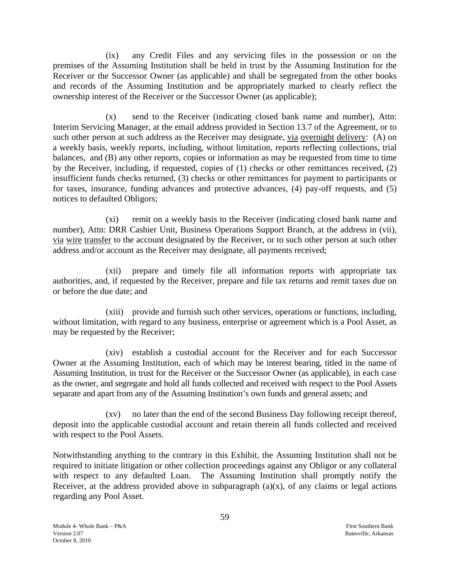(ix) any Credit Files and any servicing files in the possession or on the premises of the Assuming Institution shall be held in trust by the Assuming Institution for the Receiver or the Successor Owner (as applicable) and shall be segregated from the other books and records of the Assuming Institution and be appropriately marked to clearly reflect the ownership interest of the Receiver or the Successor Owner (as applicable);

(x) send to the Receiver (indicating closed bank name and number), Attn: Interim Servicing Manager, at the email address provided in Section 13.7 of the Agreement, or to such other person at such address as the Receiver may designate, via overnight delivery: (A) on a weekly basis, weekly reports, including, without limitation, reports reflecting collections, trial balances, and (B) any other reports, copies or information as may be requested from time to time by the Receiver, including, if requested, copies of (1) checks or other remittances received, (2) insufficient funds checks returned, (3) checks or other remittances for payment to participants or for taxes, insurance, funding advances and protective advances, (4) pay-off requests, and (5) notices to defaulted Obligors;

(xi) remit on a weekly basis to the Receiver (indicating closed bank name and number), Attn: DRR Cashier Unit, Business Operations Support Branch, at the address in (vii), via wire transfer to the account designated by the Receiver, or to such other person at such other address and/or account as the Receiver may designate, all payments received;

(xii) prepare and timely file all information reports with appropriate tax authorities, and, if requested by the Receiver, prepare and file tax returns and remit taxes due on or before the due date; and

(xiii) provide and furnish such other services, operations or functions, including, without limitation, with regard to any business, enterprise or agreement which is a Pool Asset, as may be requested by the Receiver;

 Owner at the Assuming Institution, each of which may be interest bearing, titled in the name of separate and apart from any of the Assuming Institution's own funds and general assets; and (xiv) establish a custodial account for the Receiver and for each Successor Assuming Institution, in trust for the Receiver or the Successor Owner (as applicable), in each case as the owner, and segregate and hold all funds collected and received with respect to the Pool Assets

(xv) no later than the end of the second Business Day following receipt thereof, deposit into the applicable custodial account and retain therein all funds collected and received with respect to the Pool Assets.

Notwithstanding anything to the contrary in this Exhibit, the Assuming Institution shall not be required to initiate litigation or other collection proceedings against any Obligor or any collateral with respect to any defaulted Loan. The Assuming Institution shall promptly notify the Receiver, at the address provided above in subparagraph  $(a)(x)$ , of any claims or legal actions regarding any Pool Asset.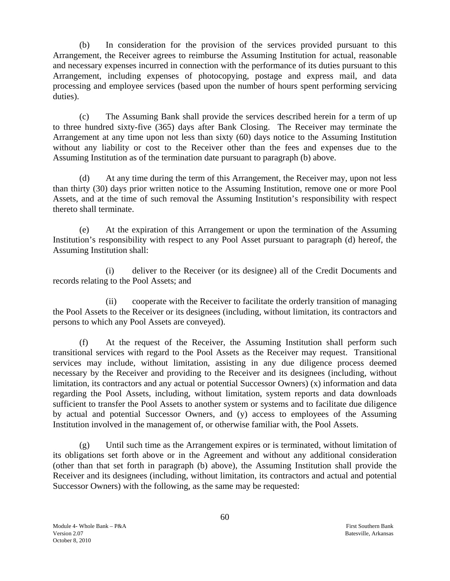(b) In consideration for the provision of the services provided pursuant to this Arrangement, the Receiver agrees to reimburse the Assuming Institution for actual, reasonable and necessary expenses incurred in connection with the performance of its duties pursuant to this Arrangement, including expenses of photocopying, postage and express mail, and data processing and employee services (based upon the number of hours spent performing servicing duties).

(c) The Assuming Bank shall provide the services described herein for a term of up to three hundred sixty-five (365) days after Bank Closing. The Receiver may terminate the Arrangement at any time upon not less than sixty (60) days notice to the Assuming Institution without any liability or cost to the Receiver other than the fees and expenses due to the Assuming Institution as of the termination date pursuant to paragraph (b) above.

(d) At any time during the term of this Arrangement, the Receiver may, upon not less than thirty (30) days prior written notice to the Assuming Institution, remove one or more Pool Assets, and at the time of such removal the Assuming Institution's responsibility with respect thereto shall terminate.

(e) At the expiration of this Arrangement or upon the termination of the Assuming Institution's responsibility with respect to any Pool Asset pursuant to paragraph (d) hereof, the Assuming Institution shall:

(i) deliver to the Receiver (or its designee) all of the Credit Documents and records relating to the Pool Assets; and

(ii) cooperate with the Receiver to facilitate the orderly transition of managing the Pool Assets to the Receiver or its designees (including, without limitation, its contractors and persons to which any Pool Assets are conveyed).

(f) At the request of the Receiver, the Assuming Institution shall perform such transitional services with regard to the Pool Assets as the Receiver may request. Transitional services may include, without limitation, assisting in any due diligence process deemed necessary by the Receiver and providing to the Receiver and its designees (including, without limitation, its contractors and any actual or potential Successor Owners) (x) information and data regarding the Pool Assets, including, without limitation, system reports and data downloads sufficient to transfer the Pool Assets to another system or systems and to facilitate due diligence by actual and potential Successor Owners, and (y) access to employees of the Assuming Institution involved in the management of, or otherwise familiar with, the Pool Assets.

(g) Until such time as the Arrangement expires or is terminated, without limitation of its obligations set forth above or in the Agreement and without any additional consideration (other than that set forth in paragraph (b) above), the Assuming Institution shall provide the Receiver and its designees (including, without limitation, its contractors and actual and potential Successor Owners) with the following, as the same may be requested: